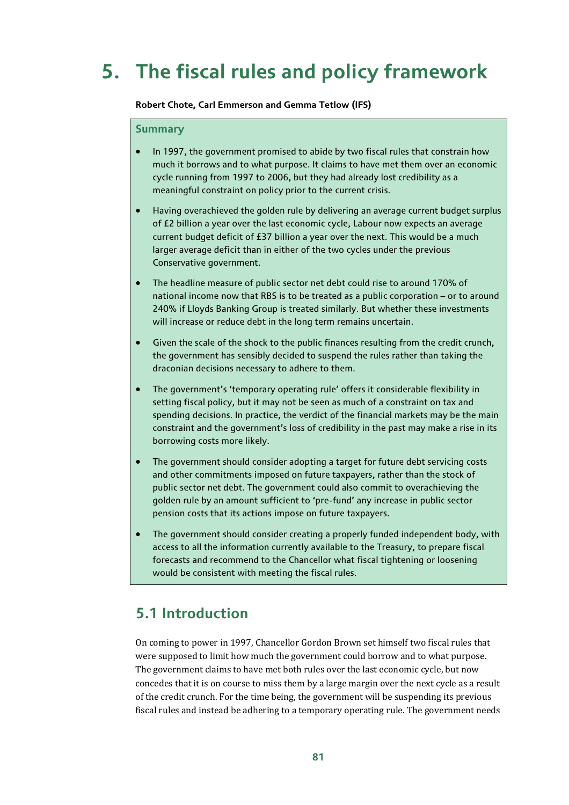# **5. The fiscal rules and policy framework**

#### **Robert Chote, Carl Emmerson and Gemma Tetlow (IFS)**

#### **Summary**

- In 1997, the government promised to abide by two fiscal rules that constrain how much it borrows and to what purpose. It claims to have met them over an economic cycle running from 1997 to 2006, but they had already lost credibility as a meaningful constraint on policy prior to the current crisis.
- Having overachieved the golden rule by delivering an average current budget surplus of £2 billion a year over the last economic cycle, Labour now expects an average current budget deficit of £37 billion a year over the next. This would be a much larger average deficit than in either of the two cycles under the previous Conservative government.
- The headline measure of public sector net debt could rise to around 170% of national income now that RBS is to be treated as a public corporation – or to around 240% if Lloyds Banking Group is treated similarly. But whether these investments will increase or reduce debt in the long term remains uncertain.
- Given the scale of the shock to the public finances resulting from the credit crunch, the government has sensibly decided to suspend the rules rather than taking the draconian decisions necessary to adhere to them.
- The government's 'temporary operating rule' offers it considerable flexibility in setting fiscal policy, but it may not be seen as much of a constraint on tax and spending decisions. In practice, the verdict of the financial markets may be the main constraint and the government's loss of credibility in the past may make a rise in its borrowing costs more likely.
- The government should consider adopting a target for future debt servicing costs and other commitments imposed on future taxpayers, rather than the stock of public sector net debt. The government could also commit to overachieving the golden rule by an amount sufficient to 'pre-fund' any increase in public sector pension costs that its actions impose on future taxpayers.
- The government should consider creating a properly funded independent body, with access to all the information currently available to the Treasury, to prepare fiscal forecasts and recommend to the Chancellor what fiscal tightening or loosening would be consistent with meeting the fiscal rules.

## **5.1 Introduction**

On coming to power in 1997, Chancellor Gordon Brown set himself two fiscal rules that were supposed to limit how much the government could borrow and to what purpose. The government claims to have met both rules over the last economic cycle, but now concedes that it is on course to miss them by a large margin over the next cycle as a result of the credit crunch. For the time being, the government will be suspending its previous fiscal rules and instead be adhering to a temporary operating rule. The government needs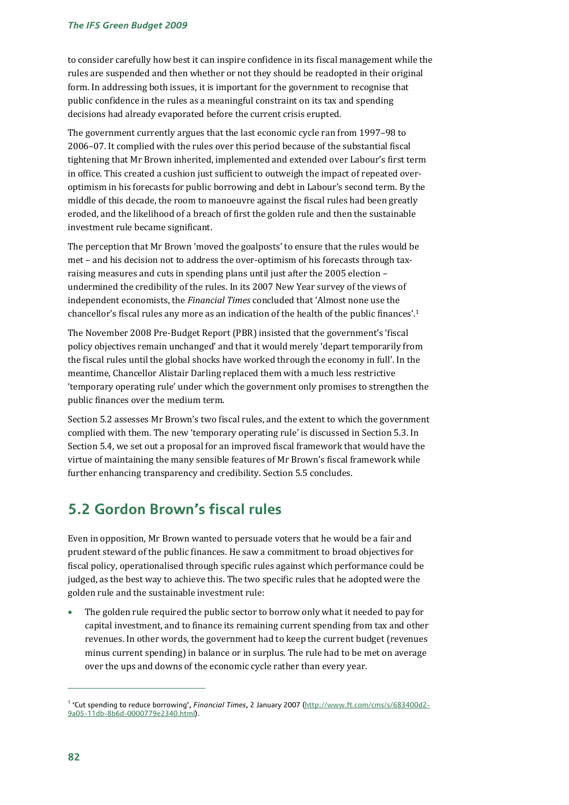to consider carefully how best it can inspire confidence in its fiscal management while the rules are suspended and then whether or not they should be readopted in their original form. In addressing both issues, it is important for the government to recognise that public confidence in the rules as a meaningful constraint on its tax and spending decisions had already evaporated before the current crisis erupted.

The government currently argues that the last economic cycle ran from 1997–98 to 2006–07. It complied with the rules over this period because of the substantial fiscal tightening that Mr Brown inherited, implemented and extended over Labour's first term in office. This created a cushion just sufficient to outweigh the impact of repeated overoptimism in his forecasts for public borrowing and debt in Labour's second term. By the middle of this decade, the room to manoeuvre against the fiscal rules had been greatly eroded, and the likelihood of a breach of first the golden rule and then the sustainable investment rule became significant.

The perception that Mr Brown 'moved the goalposts' to ensure that the rules would be met – and his decision not to address the over-optimism of his forecasts through taxraising measures and cuts in spending plans until just after the 2005 election – undermined the credibility of the rules. In its 2007 New Year survey of the views of independent economists, the *Financial Times* concluded that 'Almost none use the chancellor's fiscal rules any more as an indication of the health of the public finances'.1

The November 2008 Pre-Budget Report (PBR) insisted that the government's 'fiscal policy objectives remain unchanged' and that it would merely 'depart temporarily from the fiscal rules until the global shocks have worked through the economy in full'. In the meantime, Chancellor Alistair Darling replaced them with a much less restrictive 'temporary operating rule' under which the government only promises to strengthen the public finances over the medium term.

Section 5.2 assesses Mr Brown's two fiscal rules, and the extent to which the government complied with them. The new 'temporary operating rule' is discussed in Section 5.3. In Section 5.4, we set out a proposal for an improved fiscal framework that would have the virtue of maintaining the many sensible features of Mr Brown's fiscal framework while further enhancing transparency and credibility. Section 5.5 concludes.

# **5.2 Gordon Brown's fiscal rules**

Even in opposition, Mr Brown wanted to persuade voters that he would be a fair and prudent steward of the public finances. He saw a commitment to broad objectives for fiscal policy, operationalised through specific rules against which performance could be judged, as the best way to achieve this. The two specific rules that he adopted were the golden rule and the sustainable investment rule:

The golden rule required the public sector to borrow only what it needed to pay for capital investment, and to finance its remaining current spending from tax and other revenues. In other words, the government had to keep the current budget (revenues minus current spending) in balance or in surplus. The rule had to be met on average over the ups and downs of the economic cycle rather than every year.

<sup>1</sup> 'Cut spending to reduce borrowing', *Financial Times*, 2 January 2007 (http://www.ft.com/cms/s/683400d2- 9a05-11db-8b6d-0000779e2340.html).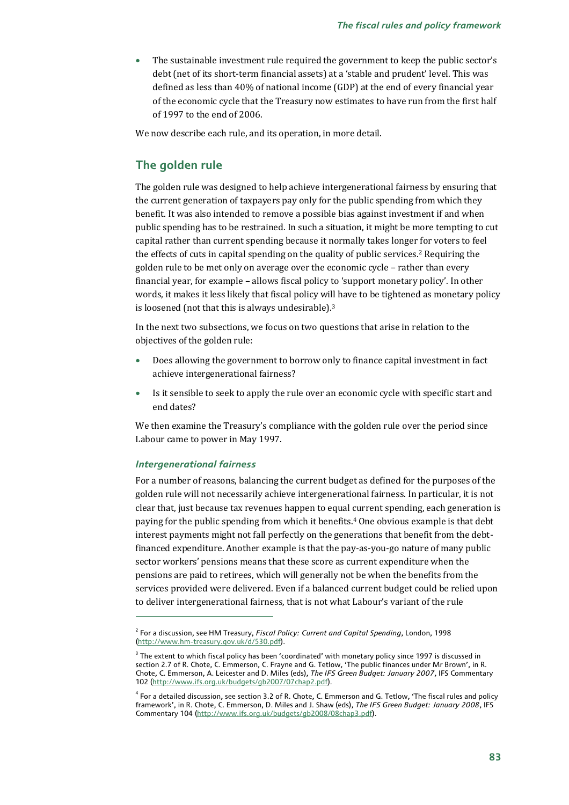• The sustainable investment rule required the government to keep the public sector's debt (net of its short-term financial assets) at a 'stable and prudent' level. This was defined as less than 40% of national income (GDP) at the end of every financial year of the economic cycle that the Treasury now estimates to have run from the first half of 1997 to the end of 2006.

We now describe each rule, and its operation, in more detail.

### **The golden rule**

The golden rule was designed to help achieve intergenerational fairness by ensuring that the current generation of taxpayers pay only for the public spending from which they benefit. It was also intended to remove a possible bias against investment if and when public spending has to be restrained. In such a situation, it might be more tempting to cut capital rather than current spending because it normally takes longer for voters to feel the effects of cuts in capital spending on the quality of public services.<sup>2</sup> Requiring the golden rule to be met only on average over the economic cycle – rather than every financial year, for example – allows fiscal policy to 'support monetary policy'. In other words, it makes it less likely that fiscal policy will have to be tightened as monetary policy is loosened (not that this is always undesirable).<sup>3</sup>

In the next two subsections, we focus on two questions that arise in relation to the objectives of the golden rule:

- Does allowing the government to borrow only to finance capital investment in fact achieve intergenerational fairness?
- Is it sensible to seek to apply the rule over an economic cycle with specific start and end dates?

We then examine the Treasury's compliance with the golden rule over the period since Labour came to power in May 1997.

### *Intergenerational fairness*

 $\overline{a}$ 

For a number of reasons, balancing the current budget as defined for the purposes of the golden rule will not necessarily achieve intergenerational fairness. In particular, it is not clear that, just because tax revenues happen to equal current spending, each generation is paying for the public spending from which it benefits.4 One obvious example is that debt interest payments might not fall perfectly on the generations that benefit from the debtfinanced expenditure. Another example is that the pay-as-you-go nature of many public sector workers' pensions means that these score as current expenditure when the pensions are paid to retirees, which will generally not be when the benefits from the services provided were delivered. Even if a balanced current budget could be relied upon to deliver intergenerational fairness, that is not what Labour's variant of the rule

<sup>2</sup> For a discussion, see HM Treasury, *Fiscal Policy: Current and Capital Spending*, London, 1998 (http://www.hm-treasury.gov.uk/d/530.pdf).

 $^3$  The extent to which fiscal policy has been 'coordinated' with monetary policy since 1997 is discussed in  $\,$ section 2.7 of R. Chote, C. Emmerson, C. Frayne and G. Tetlow, 'The public finances under Mr Brown', in R. Chote, C. Emmerson, A. Leicester and D. Miles (eds), *The IFS Green Budget: January 2007*, IFS Commentary 102 (http://www.ifs.org.uk/budgets/gb2007/07chap2.pdf).

<sup>4</sup> For a detailed discussion, see section 3.2 of R. Chote, C. Emmerson and G. Tetlow, 'The fiscal rules and policy framework', in R. Chote, C. Emmerson, D. Miles and J. Shaw (eds), *The IFS Green Budget: January 2008*, IFS Commentary 104 (http://www.ifs.org.uk/budgets/gb2008/08chap3.pdf).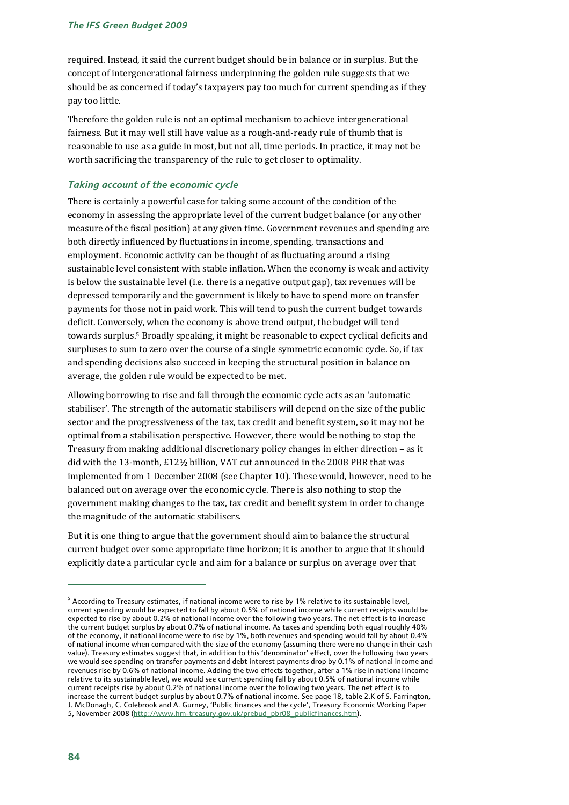required. Instead, it said the current budget should be in balance or in surplus. But the concept of intergenerational fairness underpinning the golden rule suggests that we should be as concerned if today's taxpayers pay too much for current spending as if they pay too little.

Therefore the golden rule is not an optimal mechanism to achieve intergenerational fairness. But it may well still have value as a rough-and-ready rule of thumb that is reasonable to use as a guide in most, but not all, time periods. In practice, it may not be worth sacrificing the transparency of the rule to get closer to optimality.

### *Taking account of the economic cycle*

There is certainly a powerful case for taking some account of the condition of the economy in assessing the appropriate level of the current budget balance (or any other measure of the fiscal position) at any given time. Government revenues and spending are both directly influenced by fluctuations in income, spending, transactions and employment. Economic activity can be thought of as fluctuating around a rising sustainable level consistent with stable inflation. When the economy is weak and activity is below the sustainable level (i.e. there is a negative output gap), tax revenues will be depressed temporarily and the government is likely to have to spend more on transfer payments for those not in paid work. This will tend to push the current budget towards deficit. Conversely, when the economy is above trend output, the budget will tend towards surplus.5 Broadly speaking, it might be reasonable to expect cyclical deficits and surpluses to sum to zero over the course of a single symmetric economic cycle. So, if tax and spending decisions also succeed in keeping the structural position in balance on average, the golden rule would be expected to be met.

Allowing borrowing to rise and fall through the economic cycle acts as an 'automatic stabiliser'. The strength of the automatic stabilisers will depend on the size of the public sector and the progressiveness of the tax, tax credit and benefit system, so it may not be optimal from a stabilisation perspective. However, there would be nothing to stop the Treasury from making additional discretionary policy changes in either direction – as it did with the 13-month, £12½ billion, VAT cut announced in the 2008 PBR that was implemented from 1 December 2008 (see Chapter 10). These would, however, need to be balanced out on average over the economic cycle. There is also nothing to stop the government making changes to the tax, tax credit and benefit system in order to change the magnitude of the automatic stabilisers.

But it is one thing to argue that the government should aim to balance the structural current budget over some appropriate time horizon; it is another to argue that it should explicitly date a particular cycle and aim for a balance or surplus on average over that

 $^5$  According to Treasury estimates, if national income were to rise by 1% relative to its sustainable level,  $\,$ current spending would be expected to fall by about 0.5% of national income while current receipts would be expected to rise by about 0.2% of national income over the following two years. The net effect is to increase the current budget surplus by about 0.7% of national income. As taxes and spending both equal roughly 40% of the economy, if national income were to rise by 1%, both revenues and spending would fall by about 0.4% of national income when compared with the size of the economy (assuming there were no change in their cash value). Treasury estimates suggest that, in addition to this 'denominator' effect, over the following two years we would see spending on transfer payments and debt interest payments drop by 0.1% of national income and revenues rise by 0.6% of national income. Adding the two effects together, after a 1% rise in national income relative to its sustainable level, we would see current spending fall by about 0.5% of national income while current receipts rise by about 0.2% of national income over the following two years. The net effect is to increase the current budget surplus by about 0.7% of national income. See page 18, table 2.K of S. Farrington, J. McDonagh, C. Colebrook and A. Gurney, 'Public finances and the cycle', Treasury Economic Working Paper 5, November 2008 (http://www.hm-treasury.gov.uk/prebud\_pbr08\_publicfinances.htm).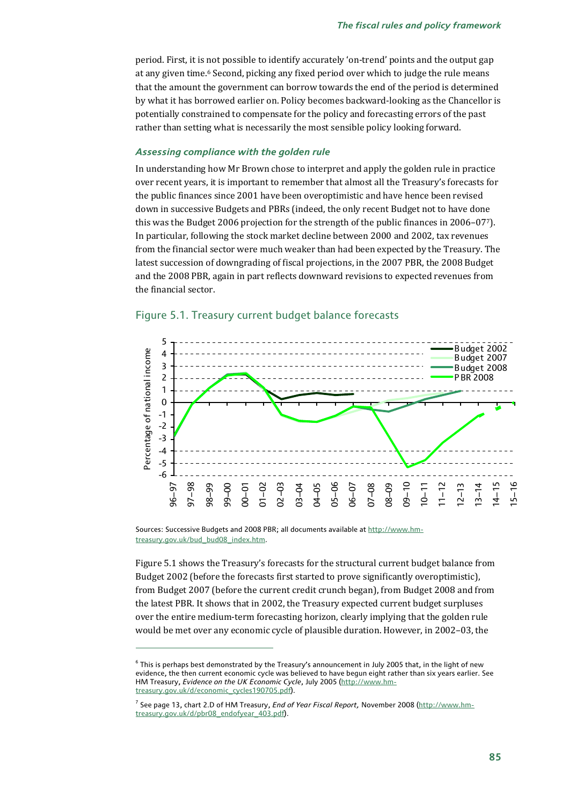period. First, it is not possible to identify accurately 'on-trend' points and the output gap at any given time.<sup>6</sup> Second, picking any fixed period over which to judge the rule means that the amount the government can borrow towards the end of the period is determined by what it has borrowed earlier on. Policy becomes backward-looking as the Chancellor is potentially constrained to compensate for the policy and forecasting errors of the past rather than setting what is necessarily the most sensible policy looking forward.

#### *Assessing compliance with the golden rule*

In understanding how Mr Brown chose to interpret and apply the golden rule in practice over recent years, it is important to remember that almost all the Treasury's forecasts for the public finances since 2001 have been overoptimistic and have hence been revised down in successive Budgets and PBRs (indeed, the only recent Budget not to have done this was the Budget 2006 projection for the strength of the public finances in 2006–077). In particular, following the stock market decline between 2000 and 2002, tax revenues from the financial sector were much weaker than had been expected by the Treasury. The latest succession of downgrading of fiscal projections, in the 2007 PBR, the 2008 Budget and the 2008 PBR, again in part reflects downward revisions to expected revenues from the financial sector.



#### Figure 5.1. Treasury current budget balance forecasts

Sources: Successive Budgets and 2008 PBR; all documents available at http://www.hmtreasury.gov.uk/bud\_bud08\_index.htm.

 $\overline{a}$ 

Figure 5.1 shows the Treasury's forecasts for the structural current budget balance from Budget 2002 (before the forecasts first started to prove significantly overoptimistic), from Budget 2007 (before the current credit crunch began), from Budget 2008 and from the latest PBR. It shows that in 2002, the Treasury expected current budget surpluses over the entire medium-term forecasting horizon, clearly implying that the golden rule would be met over any economic cycle of plausible duration. However, in 2002–03, the

 $^6$  This is perhaps best demonstrated by the Treasury's announcement in July 2005 that, in the light of new evidence, the then current economic cycle was believed to have begun eight rather than six years earlier. See HM Treasury, *Evidence on the UK Economic Cycle*, July 2005 (http://www.hmtreasury.gov.uk/d/economic\_cycles190705.pdf).

<sup>7</sup> See page 13, chart 2.D of HM Treasury, *End of Year Fiscal Report,* November 2008 (http://www.hmtreasury.gov.uk/d/pbr08\_endofyear\_403.pdf).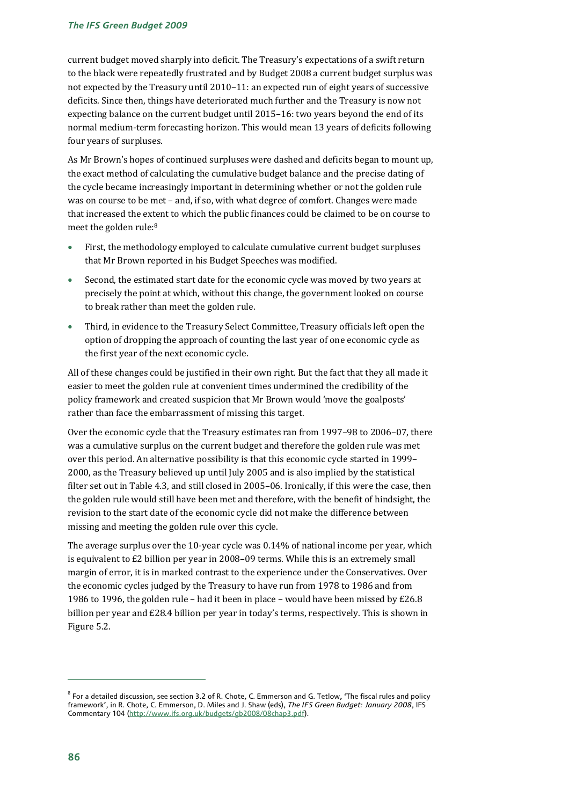current budget moved sharply into deficit. The Treasury's expectations of a swift return to the black were repeatedly frustrated and by Budget 2008 a current budget surplus was not expected by the Treasury until 2010–11: an expected run of eight years of successive deficits. Since then, things have deteriorated much further and the Treasury is now not expecting balance on the current budget until 2015–16: two years beyond the end of its normal medium-term forecasting horizon. This would mean 13 years of deficits following four years of surpluses.

As Mr Brown's hopes of continued surpluses were dashed and deficits began to mount up, the exact method of calculating the cumulative budget balance and the precise dating of the cycle became increasingly important in determining whether or not the golden rule was on course to be met – and, if so, with what degree of comfort. Changes were made that increased the extent to which the public finances could be claimed to be on course to meet the golden rule:8

- First, the methodology employed to calculate cumulative current budget surpluses that Mr Brown reported in his Budget Speeches was modified.
- Second, the estimated start date for the economic cycle was moved by two years at precisely the point at which, without this change, the government looked on course to break rather than meet the golden rule.
- Third, in evidence to the Treasury Select Committee, Treasury officials left open the option of dropping the approach of counting the last year of one economic cycle as the first year of the next economic cycle.

All of these changes could be justified in their own right. But the fact that they all made it easier to meet the golden rule at convenient times undermined the credibility of the policy framework and created suspicion that Mr Brown would 'move the goalposts' rather than face the embarrassment of missing this target.

Over the economic cycle that the Treasury estimates ran from 1997–98 to 2006–07, there was a cumulative surplus on the current budget and therefore the golden rule was met over this period. An alternative possibility is that this economic cycle started in 1999– 2000, as the Treasury believed up until July 2005 and is also implied by the statistical filter set out in Table 4.3, and still closed in 2005–06. Ironically, if this were the case, then the golden rule would still have been met and therefore, with the benefit of hindsight, the revision to the start date of the economic cycle did not make the difference between missing and meeting the golden rule over this cycle.

The average surplus over the 10-year cycle was 0.14% of national income per year, which is equivalent to £2 billion per year in 2008–09 terms. While this is an extremely small margin of error, it is in marked contrast to the experience under the Conservatives. Over the economic cycles judged by the Treasury to have run from 1978 to 1986 and from 1986 to 1996, the golden rule – had it been in place – would have been missed by  $E26.8$ billion per year and £28.4 billion per year in today's terms, respectively. This is shown in Figure 5.2.

 $^8$  For a detailed discussion, see section 3.2 of R. Chote, C. Emmerson and G. Tetlow, 'The fiscal rules and policy framework', in R. Chote, C. Emmerson, D. Miles and J. Shaw (eds), *The IFS Green Budget: January 2008*, IFS Commentary 104 (http://www.ifs.org.uk/budgets/gb2008/08chap3.pdf).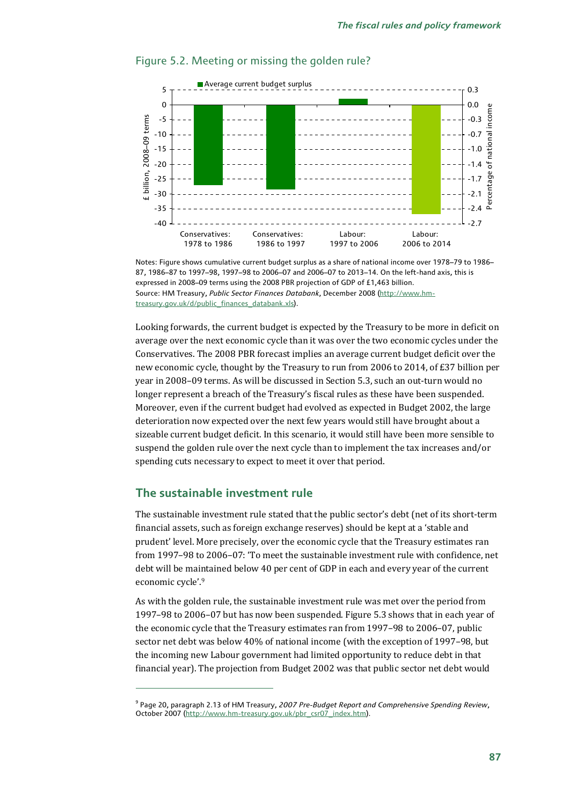

### Figure 5.2. Meeting or missing the golden rule?

Notes: Figure shows cumulative current budget surplus as a share of national income over 1978–79 to 1986– 87, 1986–87 to 1997–98, 1997–98 to 2006–07 and 2006–07 to 2013–14. On the left-hand axis, this is expressed in 2008–09 terms using the 2008 PBR projection of GDP of £1,463 billion. Source: HM Treasury, *Public Sector Finances Databank*, December 2008 (http://www.hmtreasury.gov.uk/d/public\_finances\_databank.xls).

Looking forwards, the current budget is expected by the Treasury to be more in deficit on average over the next economic cycle than it was over the two economic cycles under the Conservatives. The 2008 PBR forecast implies an average current budget deficit over the new economic cycle, thought by the Treasury to run from 2006 to 2014, of £37 billion per year in 2008–09 terms. As will be discussed in Section 5.3, such an out-turn would no longer represent a breach of the Treasury's fiscal rules as these have been suspended. Moreover, even if the current budget had evolved as expected in Budget 2002, the large deterioration now expected over the next few years would still have brought about a sizeable current budget deficit. In this scenario, it would still have been more sensible to suspend the golden rule over the next cycle than to implement the tax increases and/or spending cuts necessary to expect to meet it over that period.

### **The sustainable investment rule**

 $\overline{a}$ 

The sustainable investment rule stated that the public sector's debt (net of its short-term financial assets, such as foreign exchange reserves) should be kept at a 'stable and prudent' level. More precisely, over the economic cycle that the Treasury estimates ran from 1997–98 to 2006–07: 'To meet the sustainable investment rule with confidence, net debt will be maintained below 40 per cent of GDP in each and every year of the current economic cycle'.9

As with the golden rule, the sustainable investment rule was met over the period from 1997–98 to 2006–07 but has now been suspended. Figure 5.3 shows that in each year of the economic cycle that the Treasury estimates ran from 1997–98 to 2006–07, public sector net debt was below 40% of national income (with the exception of 1997–98, but the incoming new Labour government had limited opportunity to reduce debt in that financial year). The projection from Budget 2002 was that public sector net debt would

<sup>9</sup> Page 20, paragraph 2.13 of HM Treasury, *2007 Pre-Budget Report and Comprehensive Spending Review*, October 2007 (http://www.hm-treasury.gov.uk/pbr\_csr07\_index.htm).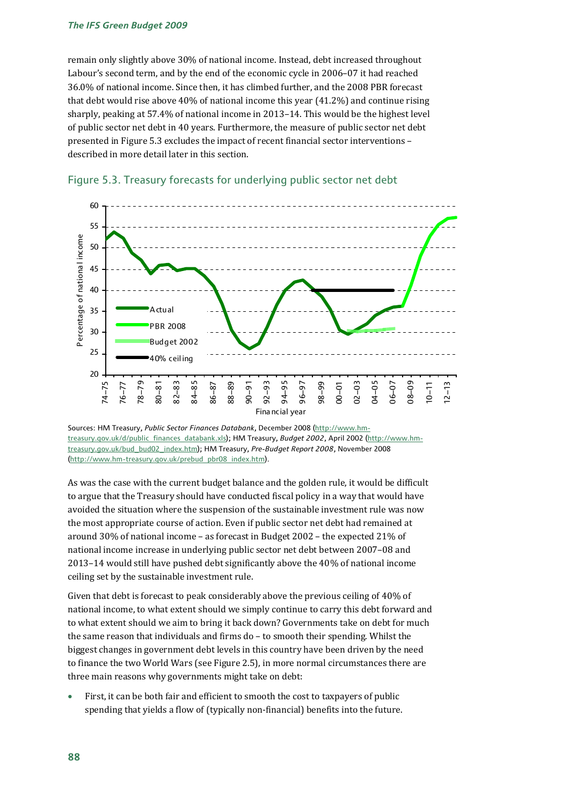remain only slightly above 30% of national income. Instead, debt increased throughout Labour's second term, and by the end of the economic cycle in 2006–07 it had reached 36.0% of national income. Since then, it has climbed further, and the 2008 PBR forecast that debt would rise above 40% of national income this year (41.2%) and continue rising sharply, peaking at 57.4% of national income in 2013–14. This would be the highest level of public sector net debt in 40 years. Furthermore, the measure of public sector net debt presented in Figure 5.3 excludes the impact of recent financial sector interventions – described in more detail later in this section.





Sources: HM Treasury, *Public Sector Finances Databank*, December 2008 (http://www.hmtreasury.gov.uk/d/public\_finances\_databank.xls); HM Treasury, *Budget 2002*, April 2002 (http://www.hmtreasury.gov.uk/bud\_bud02\_index.htm); HM Treasury, *Pre-Budget Report 2008*, November 2008 (http://www.hm-treasury.gov.uk/prebud\_pbr08\_index.htm).

As was the case with the current budget balance and the golden rule, it would be difficult to argue that the Treasury should have conducted fiscal policy in a way that would have avoided the situation where the suspension of the sustainable investment rule was now the most appropriate course of action. Even if public sector net debt had remained at around 30% of national income – as forecast in Budget 2002 – the expected 21% of national income increase in underlying public sector net debt between 2007–08 and 2013–14 would still have pushed debt significantly above the 40% of national income ceiling set by the sustainable investment rule.

Given that debt is forecast to peak considerably above the previous ceiling of 40% of national income, to what extent should we simply continue to carry this debt forward and to what extent should we aim to bring it back down? Governments take on debt for much the same reason that individuals and firms do – to smooth their spending. Whilst the biggest changes in government debt levels in this country have been driven by the need to finance the two World Wars (see Figure 2.5), in more normal circumstances there are three main reasons why governments might take on debt:

• First, it can be both fair and efficient to smooth the cost to taxpayers of public spending that yields a flow of (typically non-financial) benefits into the future.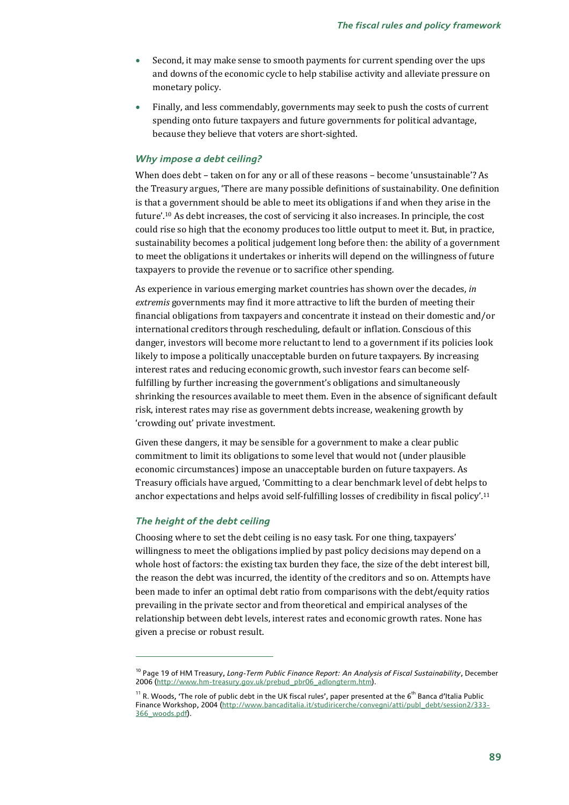- Second, it may make sense to smooth payments for current spending over the ups and downs of the economic cycle to help stabilise activity and alleviate pressure on monetary policy.
- Finally, and less commendably, governments may seek to push the costs of current spending onto future taxpayers and future governments for political advantage, because they believe that voters are short-sighted.

### *Why impose a debt ceiling?*

When does debt – taken on for any or all of these reasons – become 'unsustainable'? As the Treasury argues, 'There are many possible definitions of sustainability. One definition is that a government should be able to meet its obligations if and when they arise in the future'.10 As debt increases, the cost of servicing it also increases. In principle, the cost could rise so high that the economy produces too little output to meet it. But, in practice, sustainability becomes a political judgement long before then: the ability of a government to meet the obligations it undertakes or inherits will depend on the willingness of future taxpayers to provide the revenue or to sacrifice other spending.

As experience in various emerging market countries has shown over the decades, *in extremis* governments may find it more attractive to lift the burden of meeting their financial obligations from taxpayers and concentrate it instead on their domestic and/or international creditors through rescheduling, default or inflation. Conscious of this danger, investors will become more reluctant to lend to a government if its policies look likely to impose a politically unacceptable burden on future taxpayers. By increasing interest rates and reducing economic growth, such investor fears can become selffulfilling by further increasing the government's obligations and simultaneously shrinking the resources available to meet them. Even in the absence of significant default risk, interest rates may rise as government debts increase, weakening growth by 'crowding out' private investment.

Given these dangers, it may be sensible for a government to make a clear public commitment to limit its obligations to some level that would not (under plausible economic circumstances) impose an unacceptable burden on future taxpayers. As Treasury officials have argued, 'Committing to a clear benchmark level of debt helps to anchor expectations and helps avoid self-fulfilling losses of credibility in fiscal policy'.11

### *The height of the debt ceiling*

 $\overline{a}$ 

Choosing where to set the debt ceiling is no easy task. For one thing, taxpayers' willingness to meet the obligations implied by past policy decisions may depend on a whole host of factors: the existing tax burden they face, the size of the debt interest bill, the reason the debt was incurred, the identity of the creditors and so on. Attempts have been made to infer an optimal debt ratio from comparisons with the debt/equity ratios prevailing in the private sector and from theoretical and empirical analyses of the relationship between debt levels, interest rates and economic growth rates. None has given a precise or robust result.

<sup>10</sup> Page 19 of HM Treasury, *Long-Term Public Finance Report: An Analysis of Fiscal Sustainability*, December 2006 (http://www.hm-treasury.gov.uk/prebud\_pbr06\_adlongterm.htm).

 $11$  R. Woods, 'The role of public debt in the UK fiscal rules', paper presented at the 6<sup>th</sup> Banca d'Italia Public Finance Workshop, 2004 (http://www.bancaditalia.it/studiricerche/convegni/atti/publ\_debt/session2/333-366\_woods.pdf).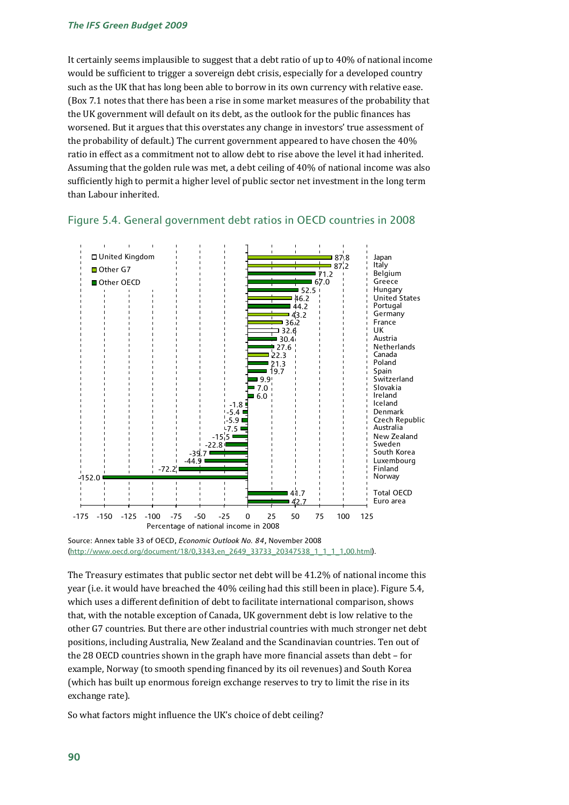It certainly seems implausible to suggest that a debt ratio of up to 40% of national income would be sufficient to trigger a sovereign debt crisis, especially for a developed country such as the UK that has long been able to borrow in its own currency with relative ease. (Box 7.1 notes that there has been a rise in some market measures of the probability that the UK government will default on its debt, as the outlook for the public finances has worsened. But it argues that this overstates any change in investors' true assessment of the probability of default.) The current government appeared to have chosen the 40% ratio in effect as a commitment not to allow debt to rise above the level it had inherited. Assuming that the golden rule was met, a debt ceiling of 40% of national income was also sufficiently high to permit a higher level of public sector net investment in the long term than Labour inherited.



### Figure 5.4. General government debt ratios in OECD countries in 2008

The Treasury estimates that public sector net debt will be 41.2% of national income this year (i.e. it would have breached the 40% ceiling had this still been in place). Figure 5.4, which uses a different definition of debt to facilitate international comparison, shows that, with the notable exception of Canada, UK government debt is low relative to the other G7 countries. But there are other industrial countries with much stronger net debt positions, including Australia, New Zealand and the Scandinavian countries. Ten out of the 28 OECD countries shown in the graph have more financial assets than debt – for example, Norway (to smooth spending financed by its oil revenues) and South Korea (which has built up enormous foreign exchange reserves to try to limit the rise in its exchange rate).

So what factors might influence the UK's choice of debt ceiling?

Source: Annex table 33 of OECD, *Economic Outlook No. 84*, November 2008 (http://www.oecd.org/document/18/0,3343,en\_2649\_33733\_20347538\_1\_1\_1\_1,00.html).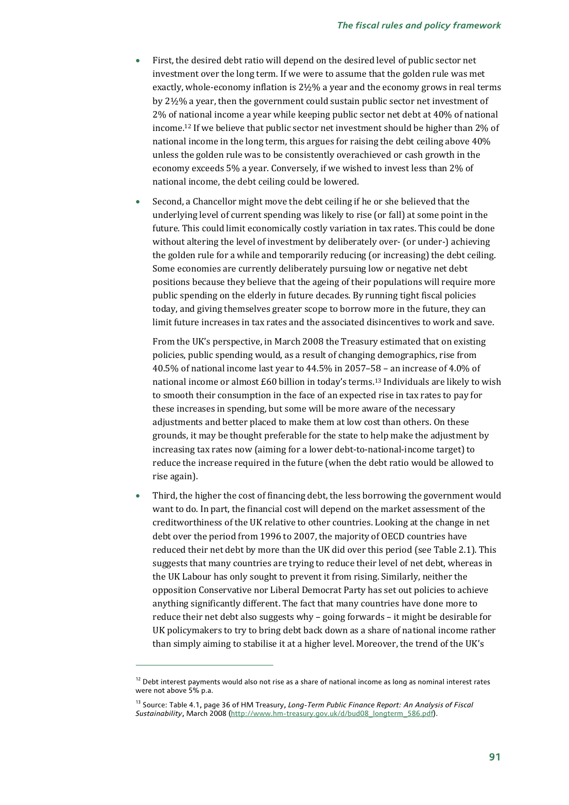- First, the desired debt ratio will depend on the desired level of public sector net investment over the long term. If we were to assume that the golden rule was met exactly, whole-economy inflation is 2½% a year and the economy grows in real terms by 2½% a year, then the government could sustain public sector net investment of 2% of national income a year while keeping public sector net debt at 40% of national income.12 If we believe that public sector net investment should be higher than 2% of national income in the long term, this argues for raising the debt ceiling above 40% unless the golden rule was to be consistently overachieved or cash growth in the economy exceeds 5% a year. Conversely, if we wished to invest less than 2% of national income, the debt ceiling could be lowered.
- Second, a Chancellor might move the debt ceiling if he or she believed that the underlying level of current spending was likely to rise (or fall) at some point in the future. This could limit economically costly variation in tax rates. This could be done without altering the level of investment by deliberately over- (or under-) achieving the golden rule for a while and temporarily reducing (or increasing) the debt ceiling. Some economies are currently deliberately pursuing low or negative net debt positions because they believe that the ageing of their populations will require more public spending on the elderly in future decades. By running tight fiscal policies today, and giving themselves greater scope to borrow more in the future, they can limit future increases in tax rates and the associated disincentives to work and save.

From the UK's perspective, in March 2008 the Treasury estimated that on existing policies, public spending would, as a result of changing demographics, rise from 40.5% of national income last year to 44.5% in 2057–58 – an increase of 4.0% of national income or almost £60 billion in today's terms.13 Individuals are likely to wish to smooth their consumption in the face of an expected rise in tax rates to pay for these increases in spending, but some will be more aware of the necessary adjustments and better placed to make them at low cost than others. On these grounds, it may be thought preferable for the state to help make the adjustment by increasing tax rates now (aiming for a lower debt-to-national-income target) to reduce the increase required in the future (when the debt ratio would be allowed to rise again).

• Third, the higher the cost of financing debt, the less borrowing the government would want to do. In part, the financial cost will depend on the market assessment of the creditworthiness of the UK relative to other countries. Looking at the change in net debt over the period from 1996 to 2007, the majority of OECD countries have reduced their net debt by more than the UK did over this period (see Table 2.1). This suggests that many countries are trying to reduce their level of net debt, whereas in the UK Labour has only sought to prevent it from rising. Similarly, neither the opposition Conservative nor Liberal Democrat Party has set out policies to achieve anything significantly different. The fact that many countries have done more to reduce their net debt also suggests why – going forwards – it might be desirable for UK policymakers to try to bring debt back down as a share of national income rather than simply aiming to stabilise it at a higher level. Moreover, the trend of the UK's

 $12$  Debt interest payments would also not rise as a share of national income as long as nominal interest rates were not above 5% p.a.

<sup>&</sup>lt;sup>13</sup> Source: Table 4.1, page 36 of HM Treasury, Long-Term Public Finance Report: An Analysis of Fiscal *Sustainability*, March 2008 (http://www.hm-treasury.gov.uk/d/bud08\_longterm\_586.pdf).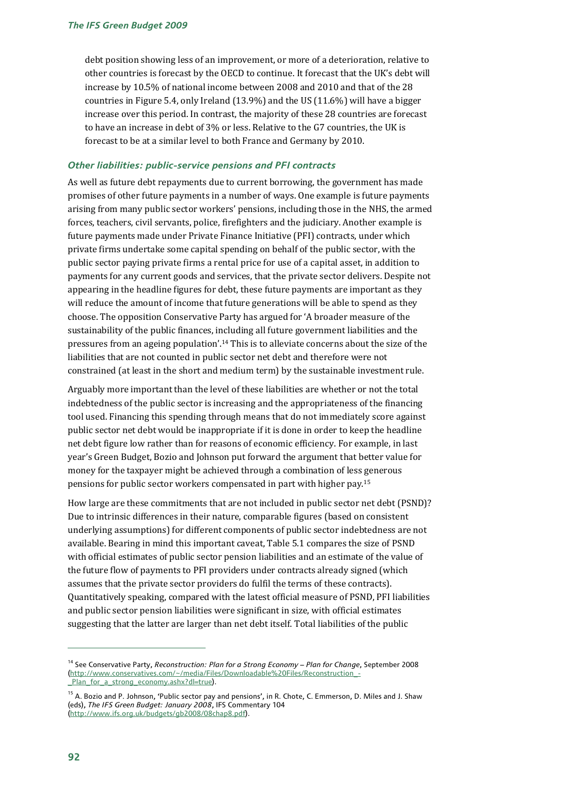debt position showing less of an improvement, or more of a deterioration, relative to other countries is forecast by the OECD to continue. It forecast that the UK's debt will increase by 10.5% of national income between 2008 and 2010 and that of the 28 countries in Figure 5.4, only Ireland (13.9%) and the US (11.6%) will have a bigger increase over this period. In contrast, the majority of these 28 countries are forecast to have an increase in debt of 3% or less. Relative to the G7 countries, the UK is forecast to be at a similar level to both France and Germany by 2010.

### *Other liabilities: public-service pensions and PFI contracts*

As well as future debt repayments due to current borrowing, the government has made promises of other future payments in a number of ways. One example is future payments arising from many public sector workers' pensions, including those in the NHS, the armed forces, teachers, civil servants, police, firefighters and the judiciary. Another example is future payments made under Private Finance Initiative (PFI) contracts, under which private firms undertake some capital spending on behalf of the public sector, with the public sector paying private firms a rental price for use of a capital asset, in addition to payments for any current goods and services, that the private sector delivers. Despite not appearing in the headline figures for debt, these future payments are important as they will reduce the amount of income that future generations will be able to spend as they choose. The opposition Conservative Party has argued for 'A broader measure of the sustainability of the public finances, including all future government liabilities and the pressures from an ageing population'.14 This is to alleviate concerns about the size of the liabilities that are not counted in public sector net debt and therefore were not constrained (at least in the short and medium term) by the sustainable investment rule.

Arguably more important than the level of these liabilities are whether or not the total indebtedness of the public sector is increasing and the appropriateness of the financing tool used. Financing this spending through means that do not immediately score against public sector net debt would be inappropriate if it is done in order to keep the headline net debt figure low rather than for reasons of economic efficiency. For example, in last year's Green Budget, Bozio and Johnson put forward the argument that better value for money for the taxpayer might be achieved through a combination of less generous pensions for public sector workers compensated in part with higher pay.15

How large are these commitments that are not included in public sector net debt (PSND)? Due to intrinsic differences in their nature, comparable figures (based on consistent underlying assumptions) for different components of public sector indebtedness are not available. Bearing in mind this important caveat, Table 5.1 compares the size of PSND with official estimates of public sector pension liabilities and an estimate of the value of the future flow of payments to PFI providers under contracts already signed (which assumes that the private sector providers do fulfil the terms of these contracts). Quantitatively speaking, compared with the latest official measure of PSND, PFI liabilities and public sector pension liabilities were significant in size, with official estimates suggesting that the latter are larger than net debt itself. Total liabilities of the public

<sup>14</sup> See Conservative Party, *Reconstruction: Plan for a Strong Economy – Plan for Change*, September 2008 (http://www.conservatives.com/~/media/Files/Downloadable%20Files/Reconstruction\_- \_Plan\_for\_a\_strong\_economy.ashx?dl=true).

<sup>&</sup>lt;sup>15</sup> A. Bozio and P. Johnson, 'Public sector pay and pensions', in R. Chote, C. Emmerson, D. Miles and J. Shaw (eds), *The IFS Green Budget: January 2008*, IFS Commentary 104 (http://www.ifs.org.uk/budgets/gb2008/08chap8.pdf).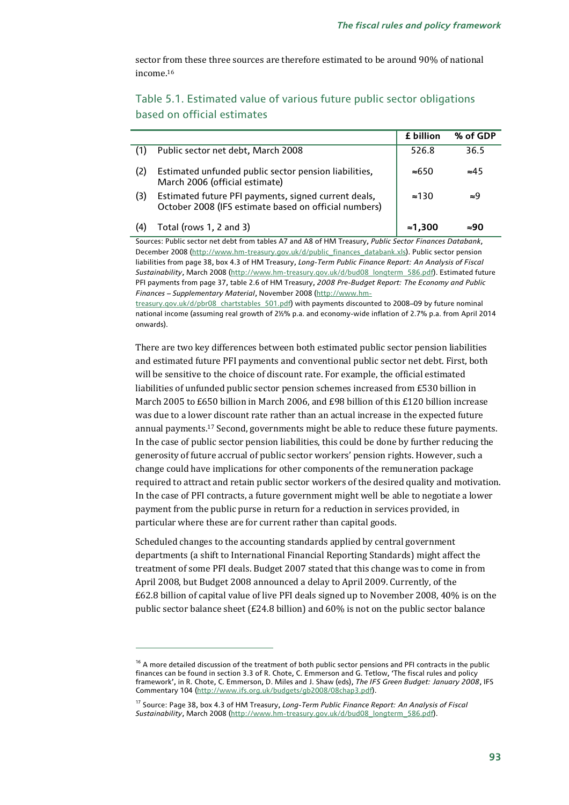sector from these three sources are therefore estimated to be around 90% of national income<sup>16</sup>

|     |                                                                                                               | £ billion     | % of GDP     |
|-----|---------------------------------------------------------------------------------------------------------------|---------------|--------------|
|     | Public sector net debt, March 2008                                                                            | 526.8         | 36.5         |
| (2) | Estimated unfunded public sector pension liabilities,<br>March 2006 (official estimate)                       | $\approx 650$ | $\approx 45$ |
| (3) | Estimated future PFI payments, signed current deals,<br>October 2008 (IFS estimate based on official numbers) | $\approx$ 130 | ≈9           |
| (4) | Total (rows 1, 2 and 3)                                                                                       | ≈1.300        | ≈90          |

### Table 5.1. Estimated value of various future public sector obligations based on official estimates

Sources: Public sector net debt from tables A7 and A8 of HM Treasury, *Public Sector Finances Databank*, December 2008 (http://www.hm-treasury.gov.uk/d/public\_finances\_databank.xls). Public sector pension liabilities from page 38, box 4.3 of HM Treasury, *Long-Term Public Finance Report: An Analysis of Fiscal Sustainability*, March 2008 (http://www.hm-treasury.gov.uk/d/bud08\_longterm\_586.pdf). Estimated future PFI payments from page 37, table 2.6 of HM Treasury, *2008 Pre-Budget Report: The Economy and Public Finances – Supplementary Material*, November 2008 (http://www.hm-

treasury.gov.uk/d/pbr08\_chartstables\_501.pdf) with payments discounted to 2008–09 by future nominal national income (assuming real growth of 2½% p.a. and economy-wide inflation of 2.7% p.a. from April 2014 onwards).

There are two key differences between both estimated public sector pension liabilities and estimated future PFI payments and conventional public sector net debt. First, both will be sensitive to the choice of discount rate. For example, the official estimated liabilities of unfunded public sector pension schemes increased from £530 billion in March 2005 to £650 billion in March 2006, and £98 billion of this £120 billion increase was due to a lower discount rate rather than an actual increase in the expected future annual payments.17 Second, governments might be able to reduce these future payments. In the case of public sector pension liabilities, this could be done by further reducing the generosity of future accrual of public sector workers' pension rights. However, such a change could have implications for other components of the remuneration package required to attract and retain public sector workers of the desired quality and motivation. In the case of PFI contracts, a future government might well be able to negotiate a lower payment from the public purse in return for a reduction in services provided, in particular where these are for current rather than capital goods.

Scheduled changes to the accounting standards applied by central government departments (a shift to International Financial Reporting Standards) might affect the treatment of some PFI deals. Budget 2007 stated that this change was to come in from April 2008, but Budget 2008 announced a delay to April 2009. Currently, of the £62.8 billion of capital value of live PFI deals signed up to November 2008, 40% is on the public sector balance sheet (£24.8 billion) and 60% is not on the public sector balance

<sup>&</sup>lt;sup>16</sup> A more detailed discussion of the treatment of both public sector pensions and PFI contracts in the public finances can be found in section 3.3 of R. Chote, C. Emmerson and G. Tetlow, 'The fiscal rules and policy framework', in R. Chote, C. Emmerson, D. Miles and J. Shaw (eds), *The IFS Green Budget: January 2008*, IFS Commentary 104 (http://www.ifs.org.uk/budgets/gb2008/08chap3.pdf).

<sup>17</sup> Source: Page 38, box 4.3 of HM Treasury, *Long-Term Public Finance Report: An Analysis of Fiscal Sustainability*, March 2008 (http://www.hm-treasury.gov.uk/d/bud08\_longterm\_586.pdf).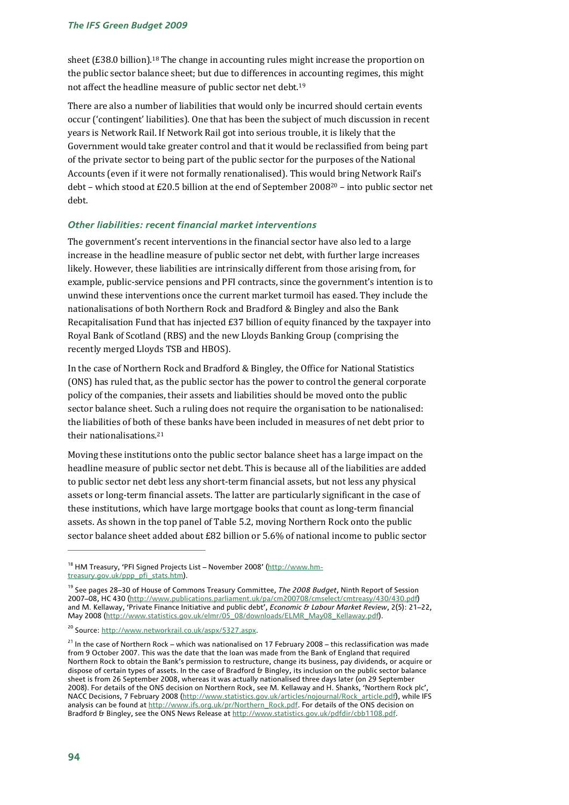sheet (£38.0 billion).<sup>18</sup> The change in accounting rules might increase the proportion on the public sector balance sheet; but due to differences in accounting regimes, this might not affect the headline measure of public sector net debt.19

There are also a number of liabilities that would only be incurred should certain events occur ('contingent' liabilities). One that has been the subject of much discussion in recent years is Network Rail. If Network Rail got into serious trouble, it is likely that the Government would take greater control and that it would be reclassified from being part of the private sector to being part of the public sector for the purposes of the National Accounts (even if it were not formally renationalised). This would bring Network Rail's debt – which stood at £20.5 billion at the end of September 200820 – into public sector net debt.

### *Other liabilities: recent financial market interventions*

The government's recent interventions in the financial sector have also led to a large increase in the headline measure of public sector net debt, with further large increases likely. However, these liabilities are intrinsically different from those arising from, for example, public-service pensions and PFI contracts, since the government's intention is to unwind these interventions once the current market turmoil has eased. They include the nationalisations of both Northern Rock and Bradford & Bingley and also the Bank Recapitalisation Fund that has injected  $E37$  billion of equity financed by the taxpayer into Royal Bank of Scotland (RBS) and the new Lloyds Banking Group (comprising the recently merged Lloyds TSB and HBOS).

In the case of Northern Rock and Bradford & Bingley, the Office for National Statistics (ONS) has ruled that, as the public sector has the power to control the general corporate policy of the companies, their assets and liabilities should be moved onto the public sector balance sheet. Such a ruling does not require the organisation to be nationalised: the liabilities of both of these banks have been included in measures of net debt prior to their nationalisations.21

Moving these institutions onto the public sector balance sheet has a large impact on the headline measure of public sector net debt. This is because all of the liabilities are added to public sector net debt less any short-term financial assets, but not less any physical assets or long-term financial assets. The latter are particularly significant in the case of these institutions, which have large mortgage books that count as long-term financial assets. As shown in the top panel of Table 5.2, moving Northern Rock onto the public sector balance sheet added about £82 billion or 5.6% of national income to public sector

<sup>&</sup>lt;sup>18</sup> HM Treasury, 'PFI Signed Projects List – November 2008' (http://www.hmtreasury.gov.uk/ppp\_pfi\_stats.htm).

<sup>19</sup> See pages 28–30 of House of Commons Treasury Committee, *The 2008 Budget*, Ninth Report of Session 2007–08, HC 430 (http://www.publications.parliament.uk/pa/cm200708/cmselect/cmtreasy/430/430.pdf) and M. Kellaway, 'Private Finance Initiative and public debt', *Economic & Labour Market Review*, 2(5): 21–22, May 2008 (http://www.statistics.gov.uk/elmr/05\_08/downloads/ELMR\_May08\_Kellaway.pdf).

<sup>&</sup>lt;sup>20</sup> Source: http://www.networkrail.co.uk/aspx/5327.aspx.

 $21$  In the case of Northern Rock – which was nationalised on 17 February 2008 – this reclassification was made from 9 October 2007. This was the date that the loan was made from the Bank of England that required Northern Rock to obtain the Bank's permission to restructure, change its business, pay dividends, or acquire or dispose of certain types of assets. In the case of Bradford & Bingley, its inclusion on the public sector balance sheet is from 26 September 2008, whereas it was actually nationalised three days later (on 29 September 2008). For details of the ONS decision on Northern Rock, see M. Kellaway and H. Shanks, 'Northern Rock plc', NACC Decisions, 7 February 2008 (http://www.statistics.gov.uk/articles/nojournal/Rock\_article.pdf), while IFS analysis can be found at http://www.ifs.org.uk/pr/Northern\_Rock.pdf. For details of the ONS decision on Bradford & Bingley, see the ONS News Release at http://www.statistics.gov.uk/pdfdir/cbb1108.pdf.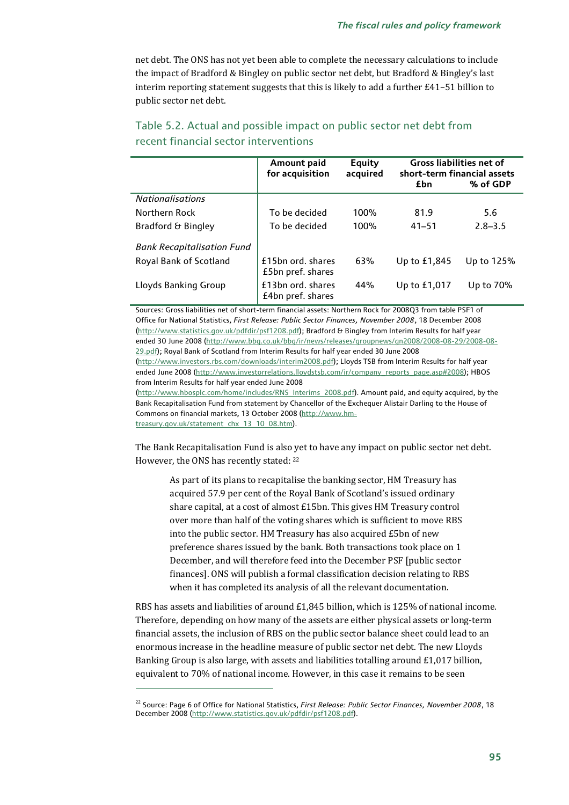net debt. The ONS has not yet been able to complete the necessary calculations to include the impact of Bradford & Bingley on public sector net debt, but Bradford & Bingley's last interim reporting statement suggests that this is likely to add a further £41–51 billion to public sector net debt.

|                                   | Amount paid<br>for acquisition         | Equity<br>acquired | <b>Gross liabilities net of</b><br>short-term financial assets<br>% of GDP<br>£bn |             |
|-----------------------------------|----------------------------------------|--------------------|-----------------------------------------------------------------------------------|-------------|
| <b>Nationalisations</b>           |                                        |                    |                                                                                   |             |
| Northern Rock                     | To be decided                          | 100%               | 81.9                                                                              | 5.6         |
| Bradford & Bingley                | To be decided                          | 100%               | $41 - 51$                                                                         | $2.8 - 3.5$ |
| <b>Bank Recapitalisation Fund</b> |                                        |                    |                                                                                   |             |
| Royal Bank of Scotland            | £15bn ord. shares<br>£5bn pref. shares | 63%                | Up to £1,845                                                                      | Up to 125%  |
| Lloyds Banking Group              | £13bn ord. shares<br>£4bn pref. shares | 44%                | Up to £1,017                                                                      | Up to 70%   |

### Table 5.2. Actual and possible impact on public sector net debt from recent financial sector interventions

Sources: Gross liabilities net of short-term financial assets: Northern Rock for 2008Q3 from table PSF1 of Office for National Statistics, *First Release: Public Sector Finances, November 2008*, 18 December 2008 (http://www.statistics.gov.uk/pdfdir/psf1208.pdf); Bradford & Bingley from Interim Results for half year ended 30 June 2008 (http://www.bbg.co.uk/bbg/ir/news/releases/groupnews/gn2008/2008-08-29/2008-08- 29.pdf); Royal Bank of Scotland from Interim Results for half year ended 30 June 2008

(http://www.investors.rbs.com/downloads/interim2008.pdf); Lloyds TSB from Interim Results for half year ended June 2008 (http://www.investorrelations.lloydstsb.com/ir/company\_reports\_page.asp#2008); HBOS from Interim Results for half year ended June 2008

(http://www.hbosplc.com/home/includes/RNS\_Interims\_2008.pdf). Amount paid, and equity acquired, by the Bank Recapitalisation Fund from statement by Chancellor of the Exchequer Alistair Darling to the House of Commons on financial markets, 13 October 2008 (http://www.hmtreasury.gov.uk/statement\_chx\_13\_10\_08.htm).

The Bank Recapitalisation Fund is also yet to have any impact on public sector net debt. However, the ONS has recently stated: 22

As part of its plans to recapitalise the banking sector, HM Treasury has acquired 57.9 per cent of the Royal Bank of Scotland's issued ordinary share capital, at a cost of almost £15bn. This gives HM Treasury control over more than half of the voting shares which is sufficient to move RBS into the public sector. HM Treasury has also acquired £5bn of new preference shares issued by the bank. Both transactions took place on 1 December, and will therefore feed into the December PSF [public sector finances]. ONS will publish a formal classification decision relating to RBS when it has completed its analysis of all the relevant documentation.

RBS has assets and liabilities of around £1,845 billion, which is 125% of national income. Therefore, depending on how many of the assets are either physical assets or long-term financial assets, the inclusion of RBS on the public sector balance sheet could lead to an enormous increase in the headline measure of public sector net debt. The new Lloyds Banking Group is also large, with assets and liabilities totalling around £1,017 billion, equivalent to 70% of national income. However, in this case it remains to be seen

<sup>22</sup> Source: Page 6 of Office for National Statistics, *First Release: Public Sector Finances, November 2008*, 18 December 2008 (http://www.statistics.gov.uk/pdfdir/psf1208.pdf).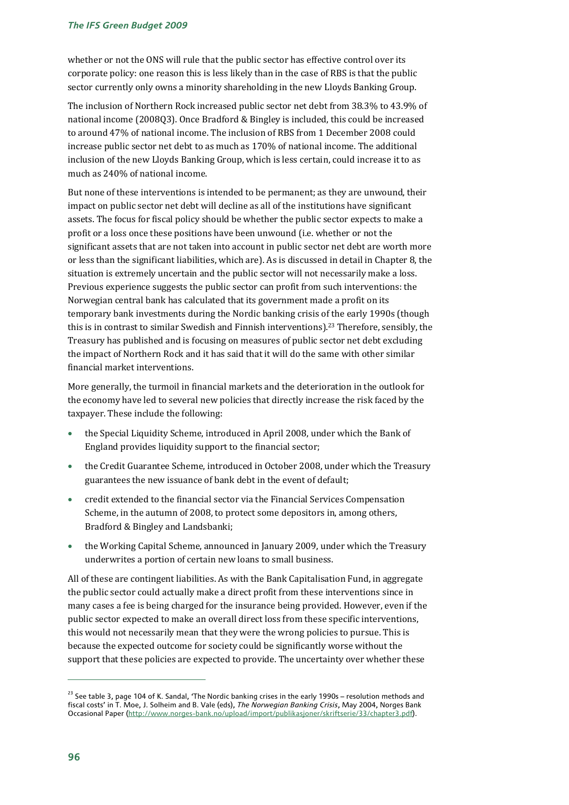whether or not the ONS will rule that the public sector has effective control over its corporate policy: one reason this is less likely than in the case of RBS is that the public sector currently only owns a minority shareholding in the new Lloyds Banking Group.

The inclusion of Northern Rock increased public sector net debt from 38.3% to 43.9% of national income (2008Q3). Once Bradford & Bingley is included, this could be increased to around 47% of national income. The inclusion of RBS from 1 December 2008 could increase public sector net debt to as much as 170% of national income. The additional inclusion of the new Lloyds Banking Group, which is less certain, could increase it to as much as 240% of national income.

But none of these interventions is intended to be permanent; as they are unwound, their impact on public sector net debt will decline as all of the institutions have significant assets. The focus for fiscal policy should be whether the public sector expects to make a profit or a loss once these positions have been unwound (i.e. whether or not the significant assets that are not taken into account in public sector net debt are worth more or less than the significant liabilities, which are). As is discussed in detail in Chapter 8, the situation is extremely uncertain and the public sector will not necessarily make a loss. Previous experience suggests the public sector can profit from such interventions: the Norwegian central bank has calculated that its government made a profit on its temporary bank investments during the Nordic banking crisis of the early 1990s (though this is in contrast to similar Swedish and Finnish interventions).23 Therefore, sensibly, the Treasury has published and is focusing on measures of public sector net debt excluding the impact of Northern Rock and it has said that it will do the same with other similar financial market interventions.

More generally, the turmoil in financial markets and the deterioration in the outlook for the economy have led to several new policies that directly increase the risk faced by the taxpayer. These include the following:

- the Special Liquidity Scheme, introduced in April 2008, under which the Bank of England provides liquidity support to the financial sector;
- the Credit Guarantee Scheme, introduced in October 2008, under which the Treasury guarantees the new issuance of bank debt in the event of default;
- credit extended to the financial sector via the Financial Services Compensation Scheme, in the autumn of 2008, to protect some depositors in, among others, Bradford & Bingley and Landsbanki;
- the Working Capital Scheme, announced in January 2009, under which the Treasury underwrites a portion of certain new loans to small business.

All of these are contingent liabilities. As with the Bank Capitalisation Fund, in aggregate the public sector could actually make a direct profit from these interventions since in many cases a fee is being charged for the insurance being provided. However, even if the public sector expected to make an overall direct loss from these specific interventions, this would not necessarily mean that they were the wrong policies to pursue. This is because the expected outcome for society could be significantly worse without the support that these policies are expected to provide. The uncertainty over whether these

<sup>&</sup>lt;sup>23</sup> See table 3, page 104 of K. Sandal, 'The Nordic banking crises in the early 1990s – resolution methods and fiscal costs' in T. Moe, J. Solheim and B. Vale (eds), *The Norwegian Banking Crisis*, May 2004, Norges Bank Occasional Paper (http://www.norges-bank.no/upload/import/publikasjoner/skriftserie/33/chapter3.pdf).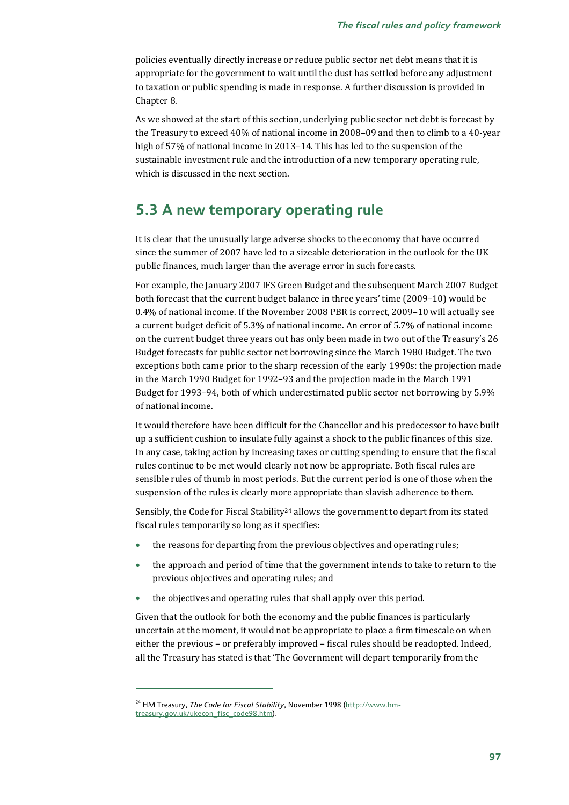policies eventually directly increase or reduce public sector net debt means that it is appropriate for the government to wait until the dust has settled before any adjustment to taxation or public spending is made in response. A further discussion is provided in Chapter 8.

As we showed at the start of this section, underlying public sector net debt is forecast by the Treasury to exceed 40% of national income in 2008–09 and then to climb to a 40-year high of 57% of national income in 2013–14. This has led to the suspension of the sustainable investment rule and the introduction of a new temporary operating rule, which is discussed in the next section.

# **5.3 A new temporary operating rule**

It is clear that the unusually large adverse shocks to the economy that have occurred since the summer of 2007 have led to a sizeable deterioration in the outlook for the UK public finances, much larger than the average error in such forecasts.

For example, the January 2007 IFS Green Budget and the subsequent March 2007 Budget both forecast that the current budget balance in three years' time (2009–10) would be 0.4% of national income. If the November 2008 PBR is correct, 2009–10 will actually see a current budget deficit of 5.3% of national income. An error of 5.7% of national income on the current budget three years out has only been made in two out of the Treasury's 26 Budget forecasts for public sector net borrowing since the March 1980 Budget. The two exceptions both came prior to the sharp recession of the early 1990s: the projection made in the March 1990 Budget for 1992–93 and the projection made in the March 1991 Budget for 1993–94, both of which underestimated public sector net borrowing by 5.9% of national income.

It would therefore have been difficult for the Chancellor and his predecessor to have built up a sufficient cushion to insulate fully against a shock to the public finances of this size. In any case, taking action by increasing taxes or cutting spending to ensure that the fiscal rules continue to be met would clearly not now be appropriate. Both fiscal rules are sensible rules of thumb in most periods. But the current period is one of those when the suspension of the rules is clearly more appropriate than slavish adherence to them.

Sensibly, the Code for Fiscal Stability<sup>24</sup> allows the government to depart from its stated fiscal rules temporarily so long as it specifies:

- the reasons for departing from the previous objectives and operating rules;
- the approach and period of time that the government intends to take to return to the previous objectives and operating rules; and
- the objectives and operating rules that shall apply over this period.

Given that the outlook for both the economy and the public finances is particularly uncertain at the moment, it would not be appropriate to place a firm timescale on when either the previous – or preferably improved – fiscal rules should be readopted. Indeed, all the Treasury has stated is that 'The Government will depart temporarily from the

<sup>&</sup>lt;sup>24</sup> HM Treasury, *The Code for Fiscal Stability*, November 1998 (http://www.hmtreasury.gov.uk/ukecon\_fisc\_code98.htm).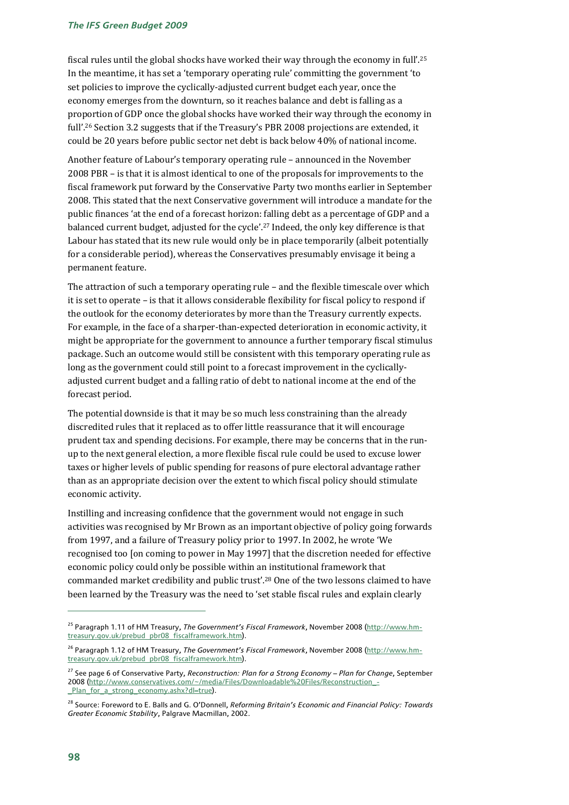fiscal rules until the global shocks have worked their way through the economy in full'.25 In the meantime, it has set a 'temporary operating rule' committing the government 'to set policies to improve the cyclically-adjusted current budget each year, once the economy emerges from the downturn, so it reaches balance and debt is falling as a proportion of GDP once the global shocks have worked their way through the economy in full'.<sup>26</sup> Section 3.2 suggests that if the Treasury's PBR 2008 projections are extended, it could be 20 years before public sector net debt is back below 40% of national income.

Another feature of Labour's temporary operating rule – announced in the November 2008 PBR – is that it is almost identical to one of the proposals for improvements to the fiscal framework put forward by the Conservative Party two months earlier in September 2008. This stated that the next Conservative government will introduce a mandate for the public finances 'at the end of a forecast horizon: falling debt as a percentage of GDP and a balanced current budget, adjusted for the cycle'.27 Indeed, the only key difference is that Labour has stated that its new rule would only be in place temporarily (albeit potentially for a considerable period), whereas the Conservatives presumably envisage it being a permanent feature.

The attraction of such a temporary operating rule – and the flexible timescale over which it is set to operate – is that it allows considerable flexibility for fiscal policy to respond if the outlook for the economy deteriorates by more than the Treasury currently expects. For example, in the face of a sharper-than-expected deterioration in economic activity, it might be appropriate for the government to announce a further temporary fiscal stimulus package. Such an outcome would still be consistent with this temporary operating rule as long as the government could still point to a forecast improvement in the cyclicallyadjusted current budget and a falling ratio of debt to national income at the end of the forecast period.

The potential downside is that it may be so much less constraining than the already discredited rules that it replaced as to offer little reassurance that it will encourage prudent tax and spending decisions. For example, there may be concerns that in the runup to the next general election, a more flexible fiscal rule could be used to excuse lower taxes or higher levels of public spending for reasons of pure electoral advantage rather than as an appropriate decision over the extent to which fiscal policy should stimulate economic activity.

Instilling and increasing confidence that the government would not engage in such activities was recognised by Mr Brown as an important objective of policy going forwards from 1997, and a failure of Treasury policy prior to 1997. In 2002, he wrote 'We recognised too [on coming to power in May 1997] that the discretion needed for effective economic policy could only be possible within an institutional framework that commanded market credibility and public trust'.28 One of the two lessons claimed to have been learned by the Treasury was the need to 'set stable fiscal rules and explain clearly

<sup>25</sup> Paragraph 1.11 of HM Treasury, *The Government's Fiscal Framework*, November 2008 (http://www.hmtreasury.gov.uk/prebud\_pbr08\_fiscalframework.htm).

<sup>26</sup> Paragraph 1.12 of HM Treasury, *The Government's Fiscal Framework*, November 2008 (http://www.hmtreasury.gov.uk/prebud\_pbr08\_fiscalframework.htm).

<sup>27</sup> See page 6 of Conservative Party, *Reconstruction: Plan for a Strong Economy – Plan for Change*, September 2008 (http://www.conservatives.com/~/media/Files/Downloadable%20Files/Reconstruction\_- \_Plan\_for\_a\_strong\_economy.ashx?dl=true).

<sup>28</sup> Source: Foreword to E. Balls and G. O'Donnell, *Reforming Britain's Economic and Financial Policy: Towards Greater Economic Stability*, Palgrave Macmillan, 2002.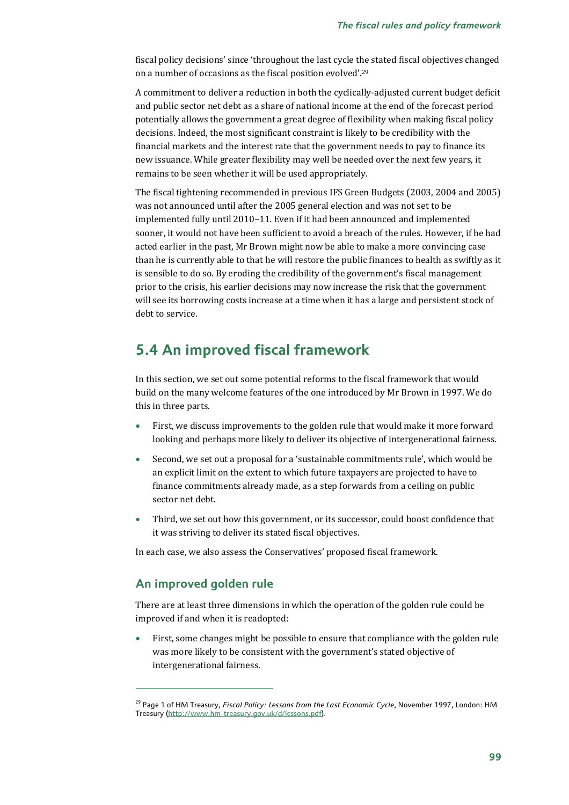fiscal policy decisions' since 'throughout the last cycle the stated fiscal objectives changed on a number of occasions as the fiscal position evolved'.29

A commitment to deliver a reduction in both the cyclically-adjusted current budget deficit and public sector net debt as a share of national income at the end of the forecast period potentially allows the government a great degree of flexibility when making fiscal policy decisions. Indeed, the most significant constraint is likely to be credibility with the financial markets and the interest rate that the government needs to pay to finance its new issuance. While greater flexibility may well be needed over the next few years, it remains to be seen whether it will be used appropriately.

The fiscal tightening recommended in previous IFS Green Budgets (2003, 2004 and 2005) was not announced until after the 2005 general election and was not set to be implemented fully until 2010–11. Even if it had been announced and implemented sooner, it would not have been sufficient to avoid a breach of the rules. However, if he had acted earlier in the past, Mr Brown might now be able to make a more convincing case than he is currently able to that he will restore the public finances to health as swiftly as it is sensible to do so. By eroding the credibility of the government's fiscal management prior to the crisis, his earlier decisions may now increase the risk that the government will see its borrowing costs increase at a time when it has a large and persistent stock of debt to service.

# **5.4 An improved fiscal framework**

In this section, we set out some potential reforms to the fiscal framework that would build on the many welcome features of the one introduced by Mr Brown in 1997. We do this in three parts.

- First, we discuss improvements to the golden rule that would make it more forward looking and perhaps more likely to deliver its objective of intergenerational fairness.
- Second, we set out a proposal for a 'sustainable commitments rule', which would be an explicit limit on the extent to which future taxpayers are projected to have to finance commitments already made, as a step forwards from a ceiling on public sector net debt.
- Third, we set out how this government, or its successor, could boost confidence that it was striving to deliver its stated fiscal objectives.

In each case, we also assess the Conservatives' proposed fiscal framework.

### **An improved golden rule**

 $\overline{a}$ 

There are at least three dimensions in which the operation of the golden rule could be improved if and when it is readopted:

• First, some changes might be possible to ensure that compliance with the golden rule was more likely to be consistent with the government's stated objective of intergenerational fairness.

<sup>29</sup> Page 1 of HM Treasury, *Fiscal Policy: Lessons from the Last Economic Cycle*, November 1997, London: HM Treasury (http://www.hm-treasury.gov.uk/d/lessons.pdf).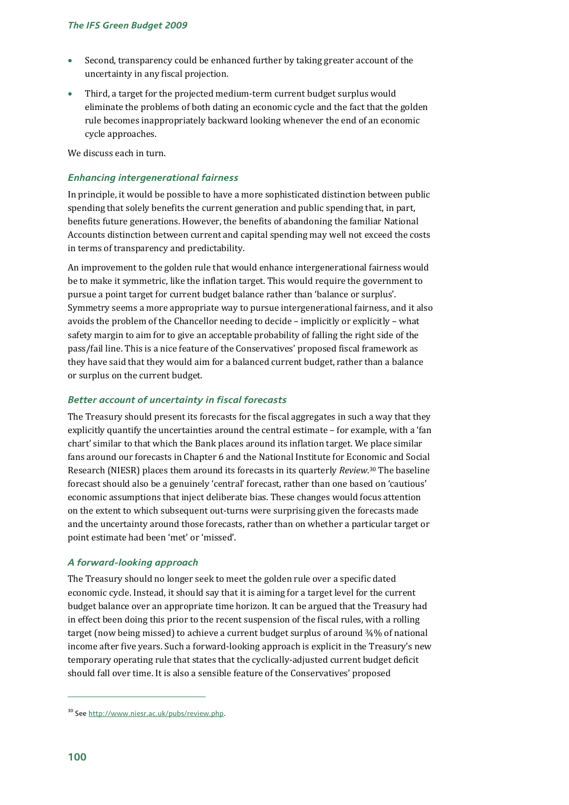- Second, transparency could be enhanced further by taking greater account of the uncertainty in any fiscal projection.
- Third, a target for the projected medium-term current budget surplus would eliminate the problems of both dating an economic cycle and the fact that the golden rule becomes inappropriately backward looking whenever the end of an economic cycle approaches.

We discuss each in turn.

### *Enhancing intergenerational fairness*

In principle, it would be possible to have a more sophisticated distinction between public spending that solely benefits the current generation and public spending that, in part, benefits future generations. However, the benefits of abandoning the familiar National Accounts distinction between current and capital spending may well not exceed the costs in terms of transparency and predictability.

An improvement to the golden rule that would enhance intergenerational fairness would be to make it symmetric, like the inflation target. This would require the government to pursue a point target for current budget balance rather than 'balance or surplus'. Symmetry seems a more appropriate way to pursue intergenerational fairness, and it also avoids the problem of the Chancellor needing to decide – implicitly or explicitly – what safety margin to aim for to give an acceptable probability of falling the right side of the pass/fail line. This is a nice feature of the Conservatives' proposed fiscal framework as they have said that they would aim for a balanced current budget, rather than a balance or surplus on the current budget.

### *Better account of uncertainty in fiscal forecasts*

The Treasury should present its forecasts for the fiscal aggregates in such a way that they explicitly quantify the uncertainties around the central estimate – for example, with a 'fan chart' similar to that which the Bank places around its inflation target. We place similar fans around our forecasts in Chapter 6 and the National Institute for Economic and Social Research (NIESR) places them around its forecasts in its quarterly *Review*. 30 The baseline forecast should also be a genuinely 'central' forecast, rather than one based on 'cautious' economic assumptions that inject deliberate bias. These changes would focus attention on the extent to which subsequent out-turns were surprising given the forecasts made and the uncertainty around those forecasts, rather than on whether a particular target or point estimate had been 'met' or 'missed'.

### *A forward-looking approach*

The Treasury should no longer seek to meet the golden rule over a specific dated economic cycle. Instead, it should say that it is aiming for a target level for the current budget balance over an appropriate time horizon. It can be argued that the Treasury had in effect been doing this prior to the recent suspension of the fiscal rules, with a rolling target (now being missed) to achieve a current budget surplus of around ¾% of national income after five years. Such a forward-looking approach is explicit in the Treasury's new temporary operating rule that states that the cyclically-adjusted current budget deficit should fall over time. It is also a sensible feature of the Conservatives' proposed

<sup>30</sup> See http://www.niesr.ac.uk/pubs/review.php.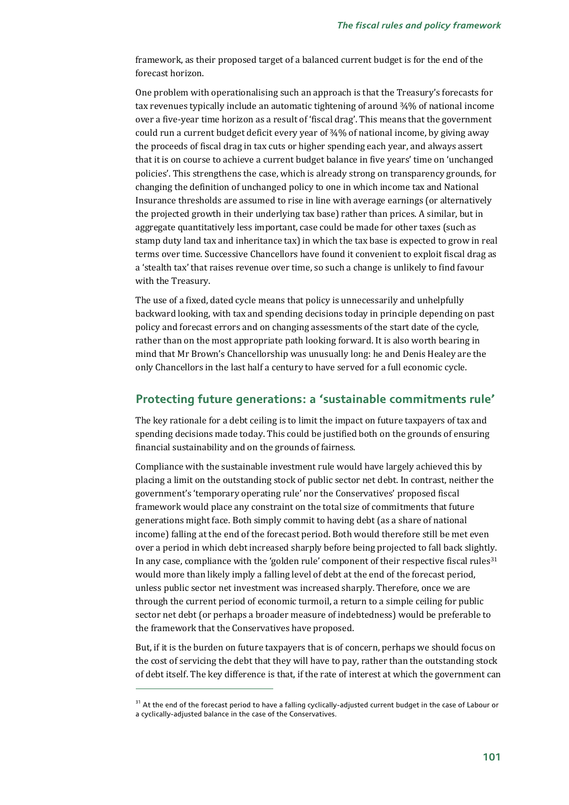framework, as their proposed target of a balanced current budget is for the end of the forecast horizon.

One problem with operationalising such an approach is that the Treasury's forecasts for tax revenues typically include an automatic tightening of around ¾% of national income over a five-year time horizon as a result of 'fiscal drag'. This means that the government could run a current budget deficit every year of ¾% of national income, by giving away the proceeds of fiscal drag in tax cuts or higher spending each year, and always assert that it is on course to achieve a current budget balance in five years' time on 'unchanged policies'. This strengthens the case, which is already strong on transparency grounds, for changing the definition of unchanged policy to one in which income tax and National Insurance thresholds are assumed to rise in line with average earnings (or alternatively the projected growth in their underlying tax base) rather than prices. A similar, but in aggregate quantitatively less important, case could be made for other taxes (such as stamp duty land tax and inheritance tax) in which the tax base is expected to grow in real terms over time. Successive Chancellors have found it convenient to exploit fiscal drag as a 'stealth tax' that raises revenue over time, so such a change is unlikely to find favour with the Treasury.

The use of a fixed, dated cycle means that policy is unnecessarily and unhelpfully backward looking, with tax and spending decisions today in principle depending on past policy and forecast errors and on changing assessments of the start date of the cycle, rather than on the most appropriate path looking forward. It is also worth bearing in mind that Mr Brown's Chancellorship was unusually long: he and Denis Healey are the only Chancellors in the last half a century to have served for a full economic cycle.

### **Protecting future generations: a 'sustainable commitments rule'**

The key rationale for a debt ceiling is to limit the impact on future taxpayers of tax and spending decisions made today. This could be justified both on the grounds of ensuring financial sustainability and on the grounds of fairness.

Compliance with the sustainable investment rule would have largely achieved this by placing a limit on the outstanding stock of public sector net debt. In contrast, neither the government's 'temporary operating rule' nor the Conservatives' proposed fiscal framework would place any constraint on the total size of commitments that future generations might face. Both simply commit to having debt (as a share of national income) falling at the end of the forecast period. Both would therefore still be met even over a period in which debt increased sharply before being projected to fall back slightly. In any case, compliance with the 'golden rule' component of their respective fiscal rules $31$ would more than likely imply a falling level of debt at the end of the forecast period, unless public sector net investment was increased sharply. Therefore, once we are through the current period of economic turmoil, a return to a simple ceiling for public sector net debt (or perhaps a broader measure of indebtedness) would be preferable to the framework that the Conservatives have proposed.

But, if it is the burden on future taxpayers that is of concern, perhaps we should focus on the cost of servicing the debt that they will have to pay, rather than the outstanding stock of debt itself. The key difference is that, if the rate of interest at which the government can

l

<sup>&</sup>lt;sup>31</sup> At the end of the forecast period to have a falling cyclically-adjusted current budget in the case of Labour or a cyclically-adjusted balance in the case of the Conservatives.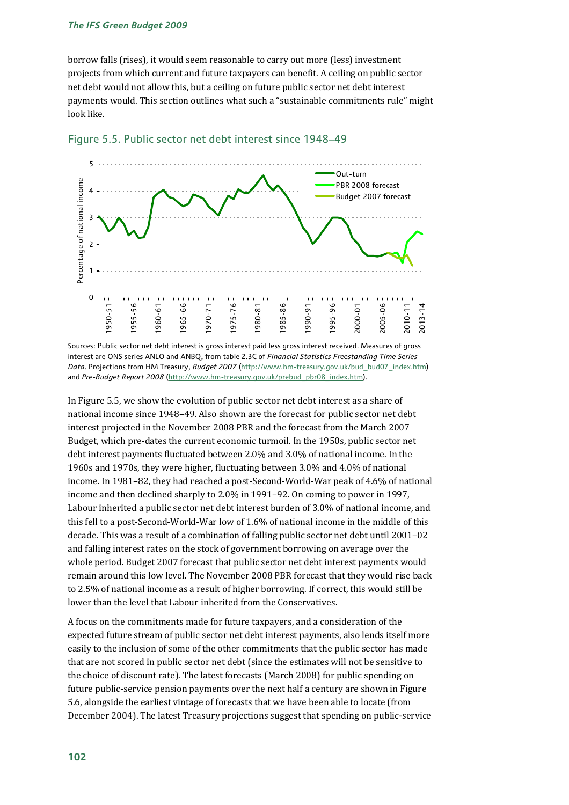borrow falls (rises), it would seem reasonable to carry out more (less) investment projects from which current and future taxpayers can benefit. A ceiling on public sector net debt would not allow this, but a ceiling on future public sector net debt interest payments would. This section outlines what such a "sustainable commitments rule" might look like.





Sources: Public sector net debt interest is gross interest paid less gross interest received. Measures of gross interest are ONS series ANLO and ANBQ, from table 2.3C of *Financial Statistics Freestanding Time Series Data*. Projections from HM Treasury, *Budget 2007* (http://www.hm-treasury.gov.uk/bud\_bud07\_index.htm) and *Pre-Budget Report 2008* (http://www.hm-treasury.gov.uk/prebud\_pbr08\_index.htm).

In Figure 5.5, we show the evolution of public sector net debt interest as a share of national income since 1948–49. Also shown are the forecast for public sector net debt interest projected in the November 2008 PBR and the forecast from the March 2007 Budget, which pre-dates the current economic turmoil. In the 1950s, public sector net debt interest payments fluctuated between 2.0% and 3.0% of national income. In the 1960s and 1970s, they were higher, fluctuating between 3.0% and 4.0% of national income. In 1981–82, they had reached a post-Second-World-War peak of 4.6% of national income and then declined sharply to 2.0% in 1991–92. On coming to power in 1997, Labour inherited a public sector net debt interest burden of 3.0% of national income, and this fell to a post-Second-World-War low of 1.6% of national income in the middle of this decade. This was a result of a combination of falling public sector net debt until 2001–02 and falling interest rates on the stock of government borrowing on average over the whole period. Budget 2007 forecast that public sector net debt interest payments would remain around this low level. The November 2008 PBR forecast that they would rise back to 2.5% of national income as a result of higher borrowing. If correct, this would still be lower than the level that Labour inherited from the Conservatives.

A focus on the commitments made for future taxpayers, and a consideration of the expected future stream of public sector net debt interest payments, also lends itself more easily to the inclusion of some of the other commitments that the public sector has made that are not scored in public sector net debt (since the estimates will not be sensitive to the choice of discount rate). The latest forecasts (March 2008) for public spending on future public-service pension payments over the next half a century are shown in Figure 5.6, alongside the earliest vintage of forecasts that we have been able to locate (from December 2004). The latest Treasury projections suggest that spending on public-service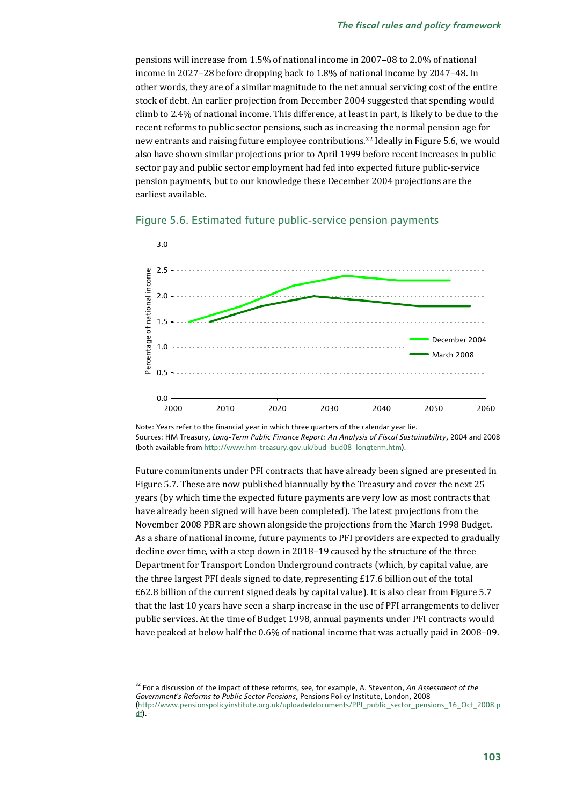pensions will increase from 1.5% of national income in 2007–08 to 2.0% of national income in 2027–28 before dropping back to 1.8% of national income by 2047–48. In other words, they are of a similar magnitude to the net annual servicing cost of the entire stock of debt. An earlier projection from December 2004 suggested that spending would climb to 2.4% of national income. This difference, at least in part, is likely to be due to the recent reforms to public sector pensions, such as increasing the normal pension age for new entrants and raising future employee contributions.32 Ideally in Figure 5.6, we would also have shown similar projections prior to April 1999 before recent increases in public sector pay and public sector employment had fed into expected future public-service pension payments, but to our knowledge these December 2004 projections are the earliest available.



### Figure 5.6. Estimated future public-service pension payments

Note: Years refer to the financial year in which three quarters of the calendar year lie. Sources: HM Treasury, *Long-Term Public Finance Report: An Analysis of Fiscal Sustainability*, 2004 and 2008 (both available from http://www.hm-treasury.gov.uk/bud\_bud08\_longterm.htm).

Future commitments under PFI contracts that have already been signed are presented in Figure 5.7. These are now published biannually by the Treasury and cover the next 25 years (by which time the expected future payments are very low as most contracts that have already been signed will have been completed). The latest projections from the November 2008 PBR are shown alongside the projections from the March 1998 Budget. As a share of national income, future payments to PFI providers are expected to gradually decline over time, with a step down in 2018–19 caused by the structure of the three Department for Transport London Underground contracts (which, by capital value, are the three largest PFI deals signed to date, representing £17.6 billion out of the total £62.8 billion of the current signed deals by capital value). It is also clear from Figure 5.7 that the last 10 years have seen a sharp increase in the use of PFI arrangements to deliver public services. At the time of Budget 1998, annual payments under PFI contracts would have peaked at below half the 0.6% of national income that was actually paid in 2008–09.

<sup>32</sup> For a discussion of the impact of these reforms, see, for example, A. Steventon, *An Assessment of the Government's Reforms to Public Sector Pensions*, Pensions Policy Institute, London, 2008 (http://www.pensionspolicyinstitute.org.uk/uploadeddocuments/PPI\_public\_sector\_pensions\_16\_Oct\_2008.p df).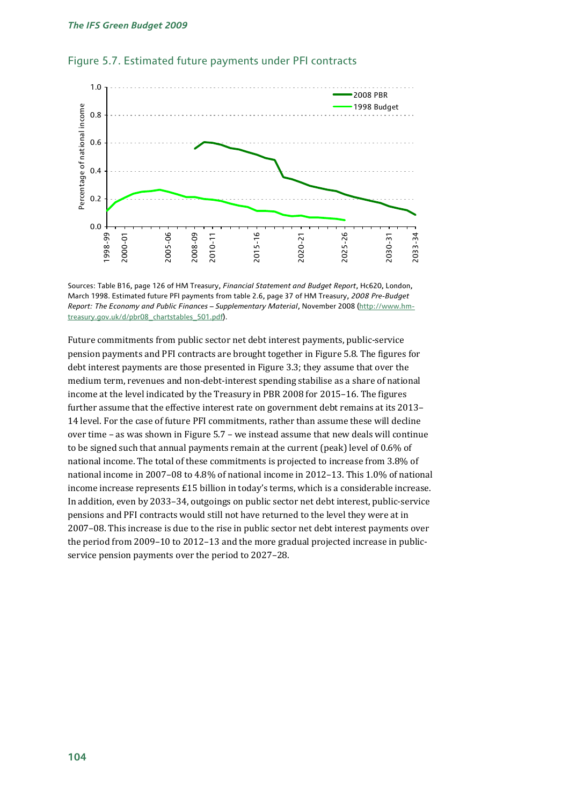

### Figure 5.7. Estimated future payments under PFI contracts

Sources: Table B16, page 126 of HM Treasury, *Financial Statement and Budget Report*, Hc620, London, March 1998. Estimated future PFI payments from table 2.6, page 37 of HM Treasury, *2008 Pre-Budget Report: The Economy and Public Finances – Supplementary Material*, November 2008 (http://www.hmtreasury.gov.uk/d/pbr08\_chartstables\_501.pdf).

Future commitments from public sector net debt interest payments, public-service pension payments and PFI contracts are brought together in Figure 5.8. The figures for debt interest payments are those presented in Figure 3.3; they assume that over the medium term, revenues and non-debt-interest spending stabilise as a share of national income at the level indicated by the Treasury in PBR 2008 for 2015–16. The figures further assume that the effective interest rate on government debt remains at its 2013– 14 level. For the case of future PFI commitments, rather than assume these will decline over time – as was shown in Figure 5.7 – we instead assume that new deals will continue to be signed such that annual payments remain at the current (peak) level of 0.6% of national income. The total of these commitments is projected to increase from 3.8% of national income in 2007–08 to 4.8% of national income in 2012–13. This 1.0% of national income increase represents £15 billion in today's terms, which is a considerable increase. In addition, even by 2033–34, outgoings on public sector net debt interest, public-service pensions and PFI contracts would still not have returned to the level they were at in 2007–08. This increase is due to the rise in public sector net debt interest payments over the period from 2009–10 to 2012–13 and the more gradual projected increase in publicservice pension payments over the period to 2027–28.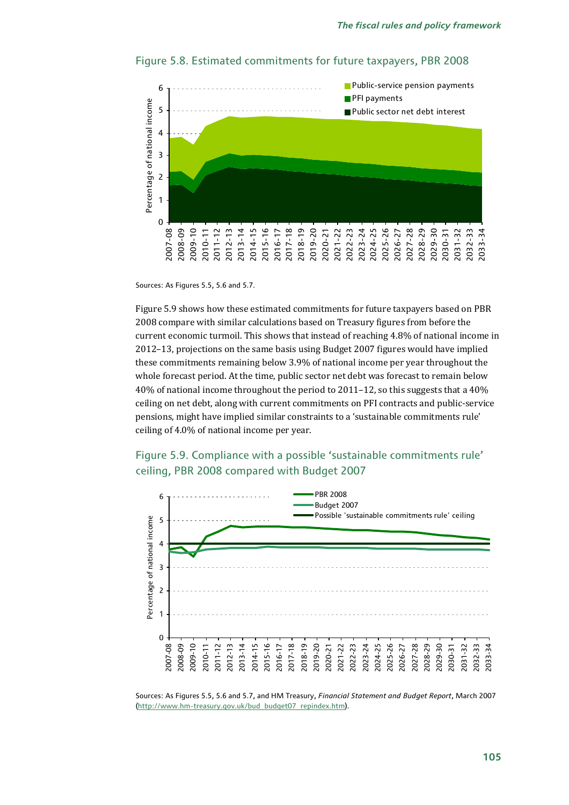

### Figure 5.8. Estimated commitments for future taxpayers, PBR 2008

Sources: As Figures 5.5, 5.6 and 5.7.

Figure 5.9 shows how these estimated commitments for future taxpayers based on PBR 2008 compare with similar calculations based on Treasury figures from before the current economic turmoil. This shows that instead of reaching 4.8% of national income in 2012–13, projections on the same basis using Budget 2007 figures would have implied these commitments remaining below 3.9% of national income per year throughout the whole forecast period. At the time, public sector net debt was forecast to remain below 40% of national income throughout the period to 2011–12, so this suggests that a 40% ceiling on net debt, along with current commitments on PFI contracts and public-service pensions, might have implied similar constraints to a 'sustainable commitments rule' ceiling of 4.0% of national income per year.





Sources: As Figures 5.5, 5.6 and 5.7, and HM Treasury, *Financial Statement and Budget Report*, March 2007 (http://www.hm-treasury.gov.uk/bud\_budget07\_repindex.htm).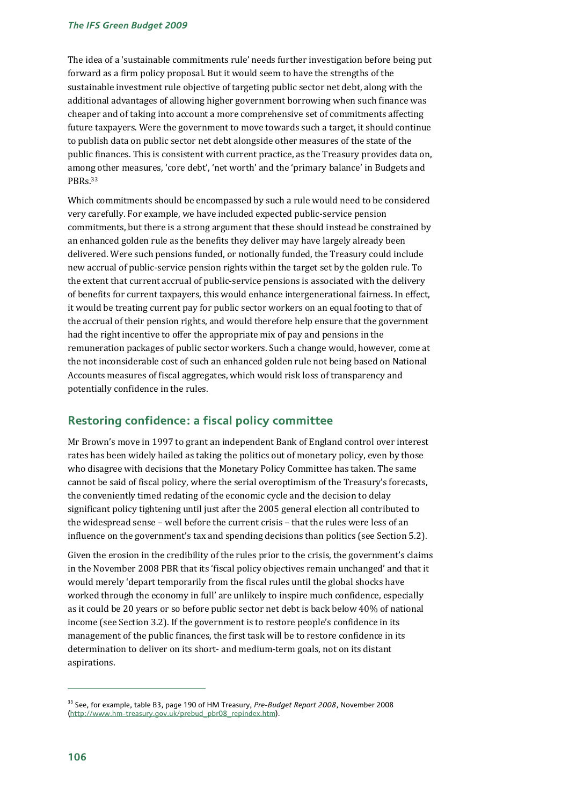The idea of a 'sustainable commitments rule' needs further investigation before being put forward as a firm policy proposal. But it would seem to have the strengths of the sustainable investment rule objective of targeting public sector net debt, along with the additional advantages of allowing higher government borrowing when such finance was cheaper and of taking into account a more comprehensive set of commitments affecting future taxpayers. Were the government to move towards such a target, it should continue to publish data on public sector net debt alongside other measures of the state of the public finances. This is consistent with current practice, as the Treasury provides data on, among other measures, 'core debt', 'net worth' and the 'primary balance' in Budgets and PBRs.33

Which commitments should be encompassed by such a rule would need to be considered very carefully. For example, we have included expected public-service pension commitments, but there is a strong argument that these should instead be constrained by an enhanced golden rule as the benefits they deliver may have largely already been delivered. Were such pensions funded, or notionally funded, the Treasury could include new accrual of public-service pension rights within the target set by the golden rule. To the extent that current accrual of public-service pensions is associated with the delivery of benefits for current taxpayers, this would enhance intergenerational fairness. In effect, it would be treating current pay for public sector workers on an equal footing to that of the accrual of their pension rights, and would therefore help ensure that the government had the right incentive to offer the appropriate mix of pay and pensions in the remuneration packages of public sector workers. Such a change would, however, come at the not inconsiderable cost of such an enhanced golden rule not being based on National Accounts measures of fiscal aggregates, which would risk loss of transparency and potentially confidence in the rules.

### **Restoring confidence: a fiscal policy committee**

Mr Brown's move in 1997 to grant an independent Bank of England control over interest rates has been widely hailed as taking the politics out of monetary policy, even by those who disagree with decisions that the Monetary Policy Committee has taken. The same cannot be said of fiscal policy, where the serial overoptimism of the Treasury's forecasts, the conveniently timed redating of the economic cycle and the decision to delay significant policy tightening until just after the 2005 general election all contributed to the widespread sense – well before the current crisis – that the rules were less of an influence on the government's tax and spending decisions than politics (see Section 5.2).

Given the erosion in the credibility of the rules prior to the crisis, the government's claims in the November 2008 PBR that its 'fiscal policy objectives remain unchanged' and that it would merely 'depart temporarily from the fiscal rules until the global shocks have worked through the economy in full' are unlikely to inspire much confidence, especially as it could be 20 years or so before public sector net debt is back below 40% of national income (see Section 3.2). If the government is to restore people's confidence in its management of the public finances, the first task will be to restore confidence in its determination to deliver on its short- and medium-term goals, not on its distant aspirations.

<sup>33</sup> See, for example, table B3, page 190 of HM Treasury, *Pre-Budget Report 2008*, November 2008 (http://www.hm-treasury.gov.uk/prebud\_pbr08\_repindex.htm).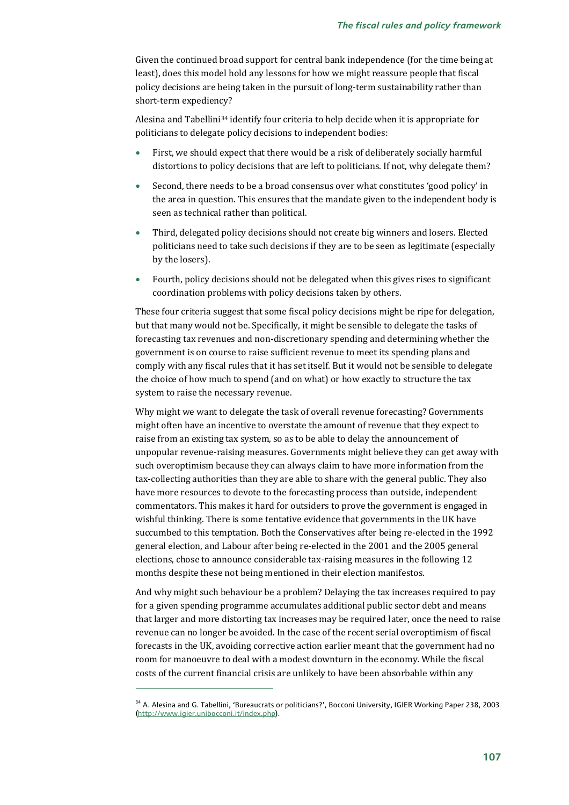Given the continued broad support for central bank independence (for the time being at least), does this model hold any lessons for how we might reassure people that fiscal policy decisions are being taken in the pursuit of long-term sustainability rather than short-term expediency?

Alesina and Tabellini34 identify four criteria to help decide when it is appropriate for politicians to delegate policy decisions to independent bodies:

- First, we should expect that there would be a risk of deliberately socially harmful distortions to policy decisions that are left to politicians. If not, why delegate them?
- Second, there needs to be a broad consensus over what constitutes 'good policy' in the area in question. This ensures that the mandate given to the independent body is seen as technical rather than political.
- Third, delegated policy decisions should not create big winners and losers. Elected politicians need to take such decisions if they are to be seen as legitimate (especially by the losers).
- Fourth, policy decisions should not be delegated when this gives rises to significant coordination problems with policy decisions taken by others.

These four criteria suggest that some fiscal policy decisions might be ripe for delegation, but that many would not be. Specifically, it might be sensible to delegate the tasks of forecasting tax revenues and non-discretionary spending and determining whether the government is on course to raise sufficient revenue to meet its spending plans and comply with any fiscal rules that it has set itself. But it would not be sensible to delegate the choice of how much to spend (and on what) or how exactly to structure the tax system to raise the necessary revenue.

Why might we want to delegate the task of overall revenue forecasting? Governments might often have an incentive to overstate the amount of revenue that they expect to raise from an existing tax system, so as to be able to delay the announcement of unpopular revenue-raising measures. Governments might believe they can get away with such overoptimism because they can always claim to have more information from the tax-collecting authorities than they are able to share with the general public. They also have more resources to devote to the forecasting process than outside, independent commentators. This makes it hard for outsiders to prove the government is engaged in wishful thinking. There is some tentative evidence that governments in the UK have succumbed to this temptation. Both the Conservatives after being re-elected in the 1992 general election, and Labour after being re-elected in the 2001 and the 2005 general elections, chose to announce considerable tax-raising measures in the following 12 months despite these not being mentioned in their election manifestos.

And why might such behaviour be a problem? Delaying the tax increases required to pay for a given spending programme accumulates additional public sector debt and means that larger and more distorting tax increases may be required later, once the need to raise revenue can no longer be avoided. In the case of the recent serial overoptimism of fiscal forecasts in the UK, avoiding corrective action earlier meant that the government had no room for manoeuvre to deal with a modest downturn in the economy. While the fiscal costs of the current financial crisis are unlikely to have been absorbable within any

<sup>&</sup>lt;sup>34</sup> A. Alesina and G. Tabellini, 'Bureaucrats or politicians?', Bocconi University, IGIER Working Paper 238, 2003 (http://www.igier.unibocconi.it/index.php).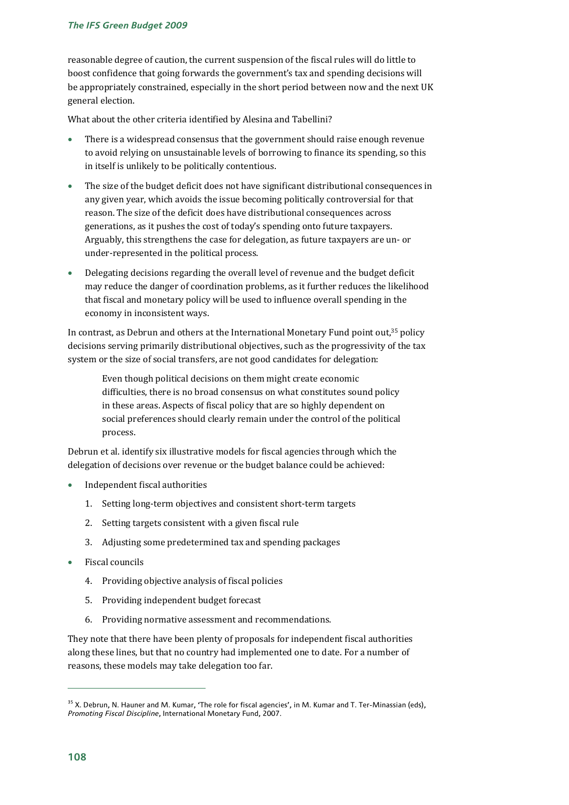reasonable degree of caution, the current suspension of the fiscal rules will do little to boost confidence that going forwards the government's tax and spending decisions will be appropriately constrained, especially in the short period between now and the next UK general election.

What about the other criteria identified by Alesina and Tabellini?

- There is a widespread consensus that the government should raise enough revenue to avoid relying on unsustainable levels of borrowing to finance its spending, so this in itself is unlikely to be politically contentious.
- The size of the budget deficit does not have significant distributional consequences in any given year, which avoids the issue becoming politically controversial for that reason. The size of the deficit does have distributional consequences across generations, as it pushes the cost of today's spending onto future taxpayers. Arguably, this strengthens the case for delegation, as future taxpayers are un- or under-represented in the political process.
- Delegating decisions regarding the overall level of revenue and the budget deficit may reduce the danger of coordination problems, as it further reduces the likelihood that fiscal and monetary policy will be used to influence overall spending in the economy in inconsistent ways.

In contrast, as Debrun and others at the International Monetary Fund point out,35 policy decisions serving primarily distributional objectives, such as the progressivity of the tax system or the size of social transfers, are not good candidates for delegation:

Even though political decisions on them might create economic difficulties, there is no broad consensus on what constitutes sound policy in these areas. Aspects of fiscal policy that are so highly dependent on social preferences should clearly remain under the control of the political process.

Debrun et al. identify six illustrative models for fiscal agencies through which the delegation of decisions over revenue or the budget balance could be achieved:

- Independent fiscal authorities
	- 1. Setting long-term objectives and consistent short-term targets
	- 2. Setting targets consistent with a given fiscal rule
	- 3. Adjusting some predetermined tax and spending packages
- Fiscal councils
	- 4. Providing objective analysis of fiscal policies
	- 5. Providing independent budget forecast
	- 6. Providing normative assessment and recommendations.

They note that there have been plenty of proposals for independent fiscal authorities along these lines, but that no country had implemented one to date. For a number of reasons, these models may take delegation too far.

<sup>&</sup>lt;sup>35</sup> X. Debrun, N. Hauner and M. Kumar, 'The role for fiscal agencies', in M. Kumar and T. Ter-Minassian (eds), *Promoting Fiscal Discipline*, International Monetary Fund, 2007.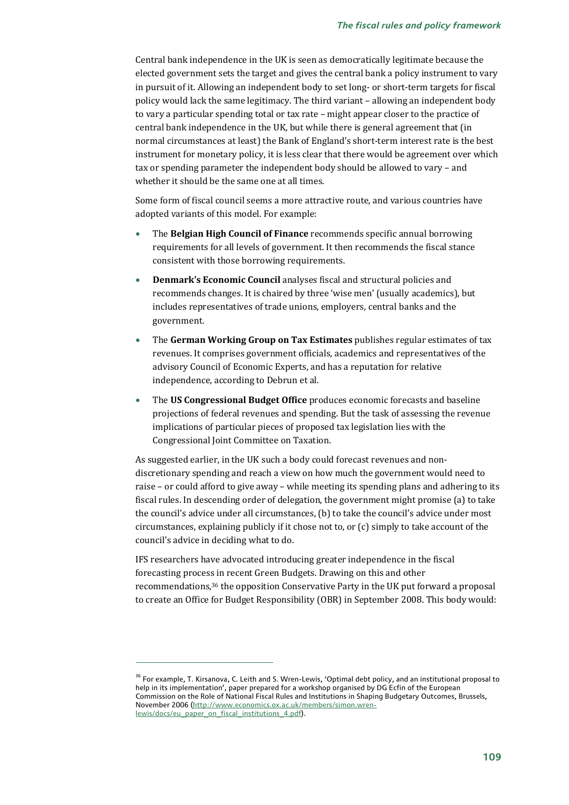Central bank independence in the UK is seen as democratically legitimate because the elected government sets the target and gives the central bank a policy instrument to vary in pursuit of it. Allowing an independent body to set long- or short-term targets for fiscal policy would lack the same legitimacy. The third variant – allowing an independent body to vary a particular spending total or tax rate – might appear closer to the practice of central bank independence in the UK, but while there is general agreement that (in normal circumstances at least) the Bank of England's short-term interest rate is the best instrument for monetary policy, it is less clear that there would be agreement over which tax or spending parameter the independent body should be allowed to vary – and whether it should be the same one at all times.

Some form of fiscal council seems a more attractive route, and various countries have adopted variants of this model. For example:

- The **Belgian High Council of Finance** recommends specific annual borrowing requirements for all levels of government. It then recommends the fiscal stance consistent with those borrowing requirements.
- **Denmark's Economic Council** analyses fiscal and structural policies and recommends changes. It is chaired by three 'wise men' (usually academics), but includes representatives of trade unions, employers, central banks and the government.
- The **German Working Group on Tax Estimates** publishes regular estimates of tax revenues. It comprises government officials, academics and representatives of the advisory Council of Economic Experts, and has a reputation for relative independence, according to Debrun et al.
- The **US Congressional Budget Office** produces economic forecasts and baseline projections of federal revenues and spending. But the task of assessing the revenue implications of particular pieces of proposed tax legislation lies with the Congressional Joint Committee on Taxation.

As suggested earlier, in the UK such a body could forecast revenues and nondiscretionary spending and reach a view on how much the government would need to raise – or could afford to give away – while meeting its spending plans and adhering to its fiscal rules. In descending order of delegation, the government might promise (a) to take the council's advice under all circumstances, (b) to take the council's advice under most circumstances, explaining publicly if it chose not to, or (c) simply to take account of the council's advice in deciding what to do.

IFS researchers have advocated introducing greater independence in the fiscal forecasting process in recent Green Budgets. Drawing on this and other recommendations,36 the opposition Conservative Party in the UK put forward a proposal to create an Office for Budget Responsibility (OBR) in September 2008. This body would:

<sup>&</sup>lt;sup>36</sup> For example, T. Kirsanova, C. Leith and S. Wren-Lewis, 'Optimal debt policy, and an institutional proposal to help in its implementation', paper prepared for a workshop organised by DG Ecfin of the European Commission on the Role of National Fiscal Rules and Institutions in Shaping Budgetary Outcomes, Brussels, November 2006 (http://www.economics.ox.ac.uk/members/simon.wrenlewis/docs/eu\_paper\_on\_fiscal\_institutions\_4.pdf).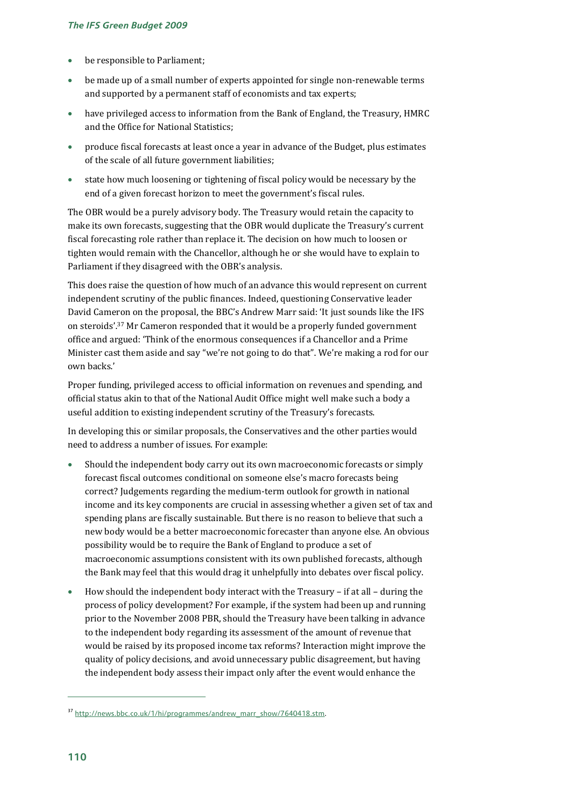- be responsible to Parliament;
- be made up of a small number of experts appointed for single non-renewable terms and supported by a permanent staff of economists and tax experts;
- have privileged access to information from the Bank of England, the Treasury, HMRC and the Office for National Statistics;
- produce fiscal forecasts at least once a year in advance of the Budget, plus estimates of the scale of all future government liabilities;
- state how much loosening or tightening of fiscal policy would be necessary by the end of a given forecast horizon to meet the government's fiscal rules.

The OBR would be a purely advisory body. The Treasury would retain the capacity to make its own forecasts, suggesting that the OBR would duplicate the Treasury's current fiscal forecasting role rather than replace it. The decision on how much to loosen or tighten would remain with the Chancellor, although he or she would have to explain to Parliament if they disagreed with the OBR's analysis.

This does raise the question of how much of an advance this would represent on current independent scrutiny of the public finances. Indeed, questioning Conservative leader David Cameron on the proposal, the BBC's Andrew Marr said: 'It just sounds like the IFS on steroids'.37 Mr Cameron responded that it would be a properly funded government office and argued: 'Think of the enormous consequences if a Chancellor and a Prime Minister cast them aside and say "we're not going to do that". We're making a rod for our own backs.'

Proper funding, privileged access to official information on revenues and spending, and official status akin to that of the National Audit Office might well make such a body a useful addition to existing independent scrutiny of the Treasury's forecasts.

In developing this or similar proposals, the Conservatives and the other parties would need to address a number of issues. For example:

- Should the independent body carry out its own macroeconomic forecasts or simply forecast fiscal outcomes conditional on someone else's macro forecasts being correct? Judgements regarding the medium-term outlook for growth in national income and its key components are crucial in assessing whether a given set of tax and spending plans are fiscally sustainable. But there is no reason to believe that such a new body would be a better macroeconomic forecaster than anyone else. An obvious possibility would be to require the Bank of England to produce a set of macroeconomic assumptions consistent with its own published forecasts, although the Bank may feel that this would drag it unhelpfully into debates over fiscal policy.
- How should the independent body interact with the Treasury if at all during the process of policy development? For example, if the system had been up and running prior to the November 2008 PBR, should the Treasury have been talking in advance to the independent body regarding its assessment of the amount of revenue that would be raised by its proposed income tax reforms? Interaction might improve the quality of policy decisions, and avoid unnecessary public disagreement, but having the independent body assess their impact only after the event would enhance the

<sup>&</sup>lt;sup>37</sup> http://news.bbc.co.uk/1/hi/programmes/andrew\_marr\_show/7640418.stm.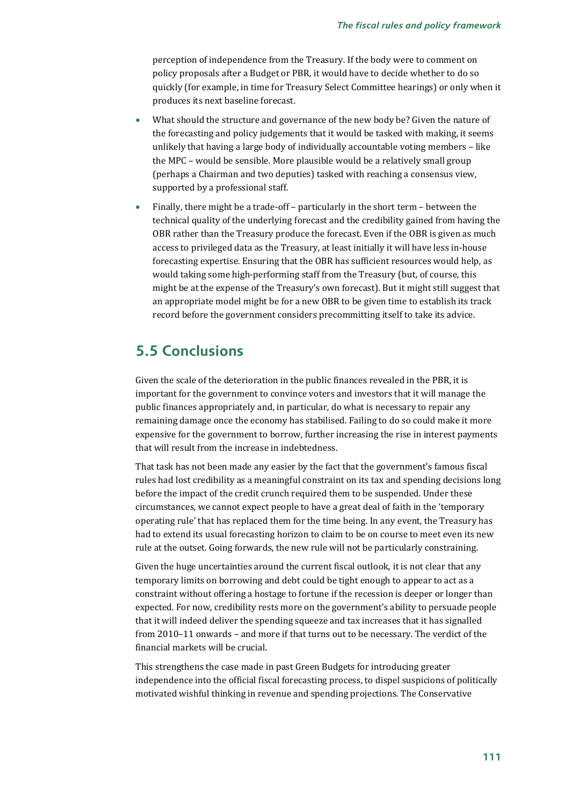perception of independence from the Treasury. If the body were to comment on policy proposals after a Budget or PBR, it would have to decide whether to do so quickly (for example, in time for Treasury Select Committee hearings) or only when it produces its next baseline forecast.

- What should the structure and governance of the new body be? Given the nature of the forecasting and policy judgements that it would be tasked with making, it seems unlikely that having a large body of individually accountable voting members – like the MPC – would be sensible. More plausible would be a relatively small group (perhaps a Chairman and two deputies) tasked with reaching a consensus view, supported by a professional staff.
- Finally, there might be a trade-off particularly in the short term between the technical quality of the underlying forecast and the credibility gained from having the OBR rather than the Treasury produce the forecast. Even if the OBR is given as much access to privileged data as the Treasury, at least initially it will have less in-house forecasting expertise. Ensuring that the OBR has sufficient resources would help, as would taking some high-performing staff from the Treasury (but, of course, this might be at the expense of the Treasury's own forecast). But it might still suggest that an appropriate model might be for a new OBR to be given time to establish its track record before the government considers precommitting itself to take its advice.

# **5.5 Conclusions**

Given the scale of the deterioration in the public finances revealed in the PBR, it is important for the government to convince voters and investors that it will manage the public finances appropriately and, in particular, do what is necessary to repair any remaining damage once the economy has stabilised. Failing to do so could make it more expensive for the government to borrow, further increasing the rise in interest payments that will result from the increase in indebtedness.

That task has not been made any easier by the fact that the government's famous fiscal rules had lost credibility as a meaningful constraint on its tax and spending decisions long before the impact of the credit crunch required them to be suspended. Under these circumstances, we cannot expect people to have a great deal of faith in the 'temporary operating rule' that has replaced them for the time being. In any event, the Treasury has had to extend its usual forecasting horizon to claim to be on course to meet even its new rule at the outset. Going forwards, the new rule will not be particularly constraining.

Given the huge uncertainties around the current fiscal outlook, it is not clear that any temporary limits on borrowing and debt could be tight enough to appear to act as a constraint without offering a hostage to fortune if the recession is deeper or longer than expected. For now, credibility rests more on the government's ability to persuade people that it will indeed deliver the spending squeeze and tax increases that it has signalled from 2010–11 onwards – and more if that turns out to be necessary. The verdict of the financial markets will be crucial.

This strengthens the case made in past Green Budgets for introducing greater independence into the official fiscal forecasting process, to dispel suspicions of politically motivated wishful thinking in revenue and spending projections. The Conservative